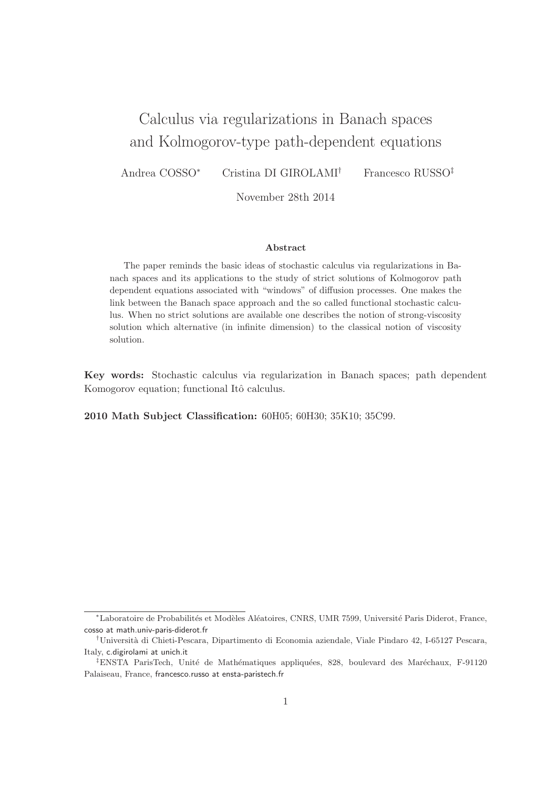# Calculus via regularizations in Banach spaces and Kolmogorov-type path-dependent equations

Andrea COSSO<sup>∗</sup> Cristina DI GIROLAMI† Francesco RUSSO‡

November 28th 2014

#### Abstract

The paper reminds the basic ideas of stochastic calculus via regularizations in Banach spaces and its applications to the study of strict solutions of Kolmogorov path dependent equations associated with "windows" of diffusion processes. One makes the link between the Banach space approach and the so called functional stochastic calculus. When no strict solutions are available one describes the notion of strong-viscosity solution which alternative (in infinite dimension) to the classical notion of viscosity solution.

Key words: Stochastic calculus via regularization in Banach spaces; path dependent Komogorov equation; functional Itô calculus.

2010 Math Subject Classification: 60H05; 60H30; 35K10; 35C99.

<sup>\*</sup>Laboratoire de Probabilités et Modèles Aléatoires, CNRS, UMR 7599, Université Paris Diderot, France, cosso at math.univ-paris-diderot.fr

<sup>†</sup>Universit`a di Chieti-Pescara, Dipartimento di Economia aziendale, Viale Pindaro 42, I-65127 Pescara, Italy, c.digirolami at unich.it

 $\textsuperscript{4}$ ENSTA ParisTech, Unité de Mathématiques appliquées, 828, boulevard des Maréchaux, F-91120 Palaiseau, France, francesco.russo at ensta-paristech.fr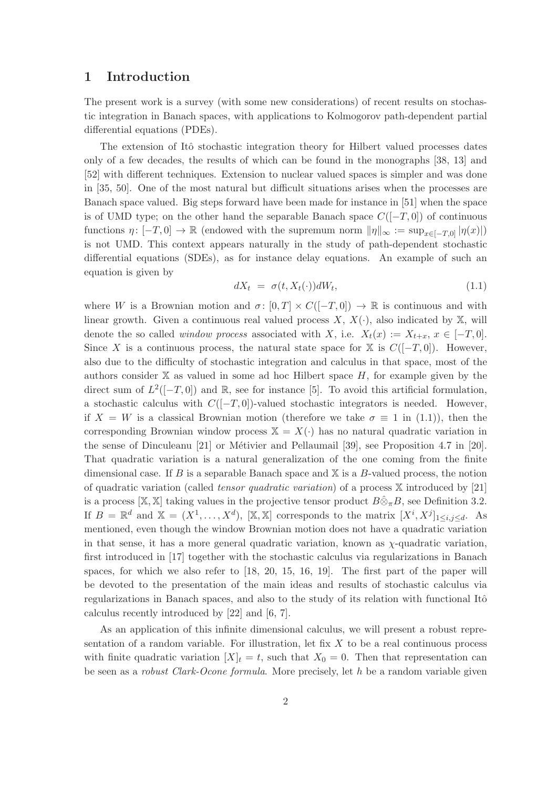# 1 Introduction

The present work is a survey (with some new considerations) of recent results on stochastic integration in Banach spaces, with applications to Kolmogorov path-dependent partial differential equations (PDEs).

The extension of Itô stochastic integration theory for Hilbert valued processes dates only of a few decades, the results of which can be found in the monographs [38, 13] and [52] with different techniques. Extension to nuclear valued spaces is simpler and was done in [35, 50]. One of the most natural but difficult situations arises when the processes are Banach space valued. Big steps forward have been made for instance in [51] when the space is of UMD type; on the other hand the separable Banach space  $C([-T, 0])$  of continuous functions  $\eta: [-T, 0] \to \mathbb{R}$  (endowed with the supremum norm  $\|\eta\|_{\infty} := \sup_{x \in [-T,0]} |\eta(x)|$ ) is not UMD. This context appears naturally in the study of path-dependent stochastic differential equations (SDEs), as for instance delay equations. An example of such an equation is given by

$$
dX_t = \sigma(t, X_t(\cdot))dW_t, \qquad (1.1)
$$

where W is a Brownian motion and  $\sigma: [0, T] \times C([-T, 0]) \to \mathbb{R}$  is continuous and with linear growth. Given a continuous real valued process  $X, X(\cdot)$ , also indicated by  $X$ , will denote the so called *window process* associated with X, i.e.  $X_t(x) := X_{t+x}, x \in [-T, 0].$ Since X is a continuous process, the natural state space for X is  $C([-T, 0])$ . However, also due to the difficulty of stochastic integration and calculus in that space, most of the authors consider  $X$  as valued in some ad hoc Hilbert space  $H$ , for example given by the direct sum of  $L^2([-T, 0])$  and R, see for instance [5]. To avoid this artificial formulation, a stochastic calculus with  $C([-T, 0])$ -valued stochastic integrators is needed. However, if  $X = W$  is a classical Brownian motion (therefore we take  $\sigma \equiv 1$  in (1.1)), then the corresponding Brownian window process  $\mathbb{X} = X(\cdot)$  has no natural quadratic variation in the sense of Dinculeanu  $[21]$  or Métivier and Pellaumail  $[39]$ , see Proposition 4.7 in  $[20]$ . That quadratic variation is a natural generalization of the one coming from the finite dimensional case. If B is a separable Banach space and  $X$  is a B-valued process, the notion of quadratic variation (called tensor quadratic variation) of a process X introduced by [21] is a process [X, X] taking values in the projective tensor product  $B\hat{\otimes}_{\pi}B$ , see Definition 3.2. If  $B = \mathbb{R}^d$  and  $\mathbb{X} = (X^1, \ldots, X^d)$ ,  $[\mathbb{X}, \mathbb{X}]$  corresponds to the matrix  $[X^i, X^j]_{1 \leq i,j \leq d}$ . As mentioned, even though the window Brownian motion does not have a quadratic variation in that sense, it has a more general quadratic variation, known as  $\chi$ -quadratic variation, first introduced in [17] together with the stochastic calculus via regularizations in Banach spaces, for which we also refer to [18, 20, 15, 16, 19]. The first part of the paper will be devoted to the presentation of the main ideas and results of stochastic calculus via regularizations in Banach spaces, and also to the study of its relation with functional Itô calculus recently introduced by [22] and [6, 7].

As an application of this infinite dimensional calculus, we will present a robust representation of a random variable. For illustration, let fix  $X$  to be a real continuous process with finite quadratic variation  $[X]_t = t$ , such that  $X_0 = 0$ . Then that representation can be seen as a robust Clark-Ocone formula. More precisely, let h be a random variable given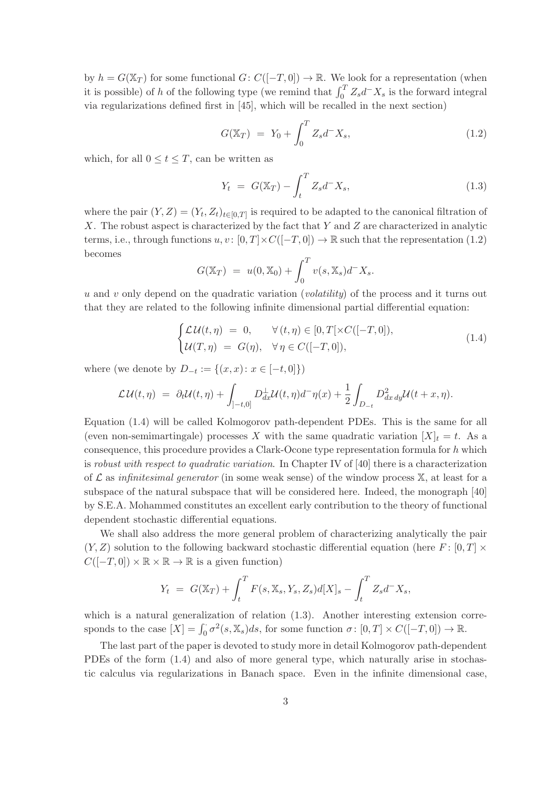by  $h = G(\mathbb{X}_T)$  for some functional  $G: C([-T, 0]) \to \mathbb{R}$ . We look for a representation (when it is possible) of h of the following type (we remind that  $\int_0^T Z_s d^-X_s$  is the forward integral via regularizations defined first in [45], which will be recalled in the next section)

$$
G(\mathbb{X}_T) = Y_0 + \int_0^T Z_s d^- X_s, \qquad (1.2)
$$

which, for all  $0 \le t \le T$ , can be written as

$$
Y_t = G(\mathbb{X}_T) - \int_t^T Z_s d^- X_s, \qquad (1.3)
$$

where the pair  $(Y, Z) = (Y_t, Z_t)_{t \in [0,T]}$  is required to be adapted to the canonical filtration of X. The robust aspect is characterized by the fact that  $Y$  and  $Z$  are characterized in analytic terms, i.e., through functions  $u, v : [0, T] \times C([-T, 0]) \to \mathbb{R}$  such that the representation (1.2) becomes

$$
G(\mathbb{X}_T) = u(0, \mathbb{X}_0) + \int_0^T v(s, \mathbb{X}_s) d^- X_s.
$$

u and v only depend on the quadratic variation (volatility) of the process and it turns out that they are related to the following infinite dimensional partial differential equation:

$$
\begin{cases}\n\mathcal{L}\mathcal{U}(t,\eta) = 0, & \forall (t,\eta) \in [0,T[\times C([-T,0]),\\ \mathcal{U}(T,\eta) = G(\eta), & \forall \eta \in C([-T,0]),\n\end{cases} (1.4)
$$

where (we denote by  $D_{-t} := \{(x, x): x \in [-t, 0]\}\)$ 

$$
\mathcal{L}\mathcal{U}(t,\eta) = \partial_t \mathcal{U}(t,\eta) + \int_{]-t,0]} D_{dx}^{\perp} \mathcal{U}(t,\eta) d^{\perp} \eta(x) + \frac{1}{2} \int_{D_{-t}} D_{dx\,dy}^2 \mathcal{U}(t+x,\eta).
$$

Equation (1.4) will be called Kolmogorov path-dependent PDEs. This is the same for all (even non-semimartingale) processes X with the same quadratic variation  $[X]_t = t$ . As a consequence, this procedure provides a Clark-Ocone type representation formula for h which is robust with respect to quadratic variation. In Chapter IV of [40] there is a characterization of  $\mathcal L$  as infinitesimal generator (in some weak sense) of the window process  $\mathbb X$ , at least for a subspace of the natural subspace that will be considered here. Indeed, the monograph [40] by S.E.A. Mohammed constitutes an excellent early contribution to the theory of functional dependent stochastic differential equations.

We shall also address the more general problem of characterizing analytically the pair  $(Y, Z)$  solution to the following backward stochastic differential equation (here F: [0, T]  $\times$  $C([-T, 0]) \times \mathbb{R} \times \mathbb{R} \to \mathbb{R}$  is a given function)

$$
Y_t = G(\mathbb{X}_T) + \int_t^T F(s, \mathbb{X}_s, Y_s, Z_s) d[X]_s - \int_t^T Z_s d^- X_s,
$$

which is a natural generalization of relation  $(1.3)$ . Another interesting extension corresponds to the case  $[X] = \int_0^{\cdot} \sigma^2(s, X_s) ds$ , for some function  $\sigma \colon [0, T] \times C([-T, 0]) \to \mathbb{R}$ .

The last part of the paper is devoted to study more in detail Kolmogorov path-dependent PDEs of the form (1.4) and also of more general type, which naturally arise in stochastic calculus via regularizations in Banach space. Even in the infinite dimensional case,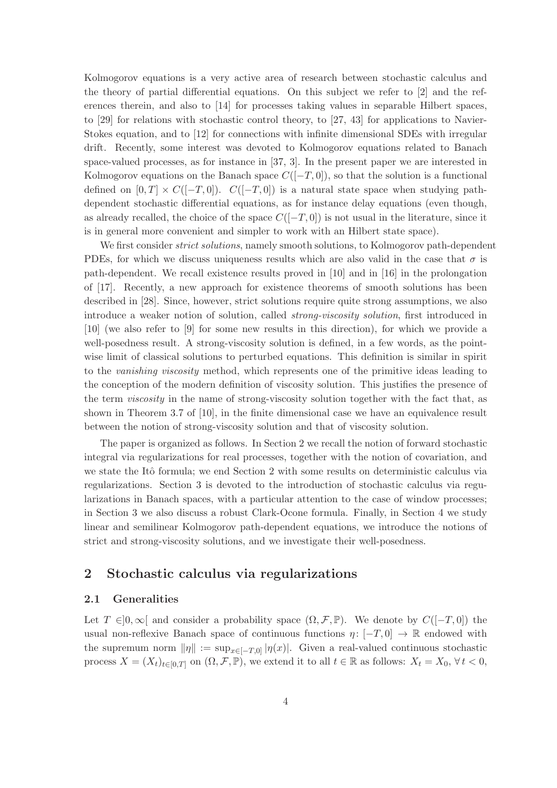Kolmogorov equations is a very active area of research between stochastic calculus and the theory of partial differential equations. On this subject we refer to [2] and the references therein, and also to [14] for processes taking values in separable Hilbert spaces, to [29] for relations with stochastic control theory, to [27, 43] for applications to Navier-Stokes equation, and to [12] for connections with infinite dimensional SDEs with irregular drift. Recently, some interest was devoted to Kolmogorov equations related to Banach space-valued processes, as for instance in [37, 3]. In the present paper we are interested in Kolmogorov equations on the Banach space  $C([-T, 0])$ , so that the solution is a functional defined on  $[0, T] \times C([-T, 0])$ .  $C([-T, 0])$  is a natural state space when studying pathdependent stochastic differential equations, as for instance delay equations (even though, as already recalled, the choice of the space  $C([-T, 0])$  is not usual in the literature, since it is in general more convenient and simpler to work with an Hilbert state space).

We first consider *strict solutions*, namely smooth solutions, to Kolmogorov path-dependent PDEs, for which we discuss uniqueness results which are also valid in the case that  $\sigma$  is path-dependent. We recall existence results proved in [10] and in [16] in the prolongation of [17]. Recently, a new approach for existence theorems of smooth solutions has been described in [28]. Since, however, strict solutions require quite strong assumptions, we also introduce a weaker notion of solution, called strong-viscosity solution, first introduced in [10] (we also refer to [9] for some new results in this direction), for which we provide a well-posedness result. A strong-viscosity solution is defined, in a few words, as the pointwise limit of classical solutions to perturbed equations. This definition is similar in spirit to the vanishing viscosity method, which represents one of the primitive ideas leading to the conception of the modern definition of viscosity solution. This justifies the presence of the term viscosity in the name of strong-viscosity solution together with the fact that, as shown in Theorem 3.7 of [10], in the finite dimensional case we have an equivalence result between the notion of strong-viscosity solution and that of viscosity solution.

The paper is organized as follows. In Section 2 we recall the notion of forward stochastic integral via regularizations for real processes, together with the notion of covariation, and we state the Itô formula; we end Section 2 with some results on deterministic calculus via regularizations. Section 3 is devoted to the introduction of stochastic calculus via regularizations in Banach spaces, with a particular attention to the case of window processes; in Section 3 we also discuss a robust Clark-Ocone formula. Finally, in Section 4 we study linear and semilinear Kolmogorov path-dependent equations, we introduce the notions of strict and strong-viscosity solutions, and we investigate their well-posedness.

# 2 Stochastic calculus via regularizations

### 2.1 Generalities

Let  $T \in ]0,\infty[$  and consider a probability space  $(\Omega,\mathcal{F},\mathbb{P})$ . We denote by  $C([-T,0])$  the usual non-reflexive Banach space of continuous functions  $\eta: [-T, 0] \to \mathbb{R}$  endowed with the supremum norm  $\|\eta\| := \sup_{x \in [-T,0]} |\eta(x)|$ . Given a real-valued continuous stochastic process  $X = (X_t)_{t \in [0,T]}$  on  $(\Omega, \mathcal{F}, \mathbb{P})$ , we extend it to all  $t \in \mathbb{R}$  as follows:  $X_t = X_0, \forall t < 0$ ,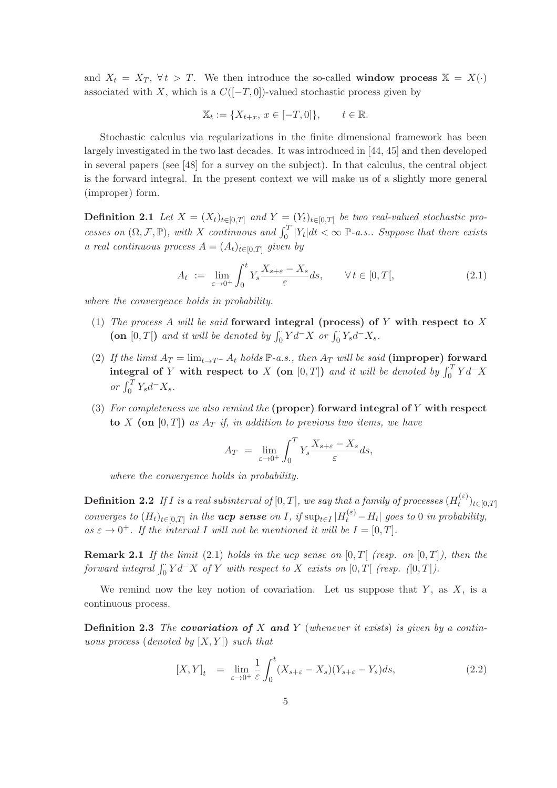and  $X_t = X_T$ ,  $\forall t > T$ . We then introduce the so-called **window process**  $X = X(\cdot)$ associated with X, which is a  $C([-T, 0])$ -valued stochastic process given by

$$
\mathbb{X}_t := \{ X_{t+x}, \, x \in [-T, 0] \}, \qquad t \in \mathbb{R}.
$$

Stochastic calculus via regularizations in the finite dimensional framework has been largely investigated in the two last decades. It was introduced in [44, 45] and then developed in several papers (see [48] for a survey on the subject). In that calculus, the central object is the forward integral. In the present context we will make us of a slightly more general (improper) form.

**Definition 2.1** Let  $X = (X_t)_{t \in [0,T]}$  and  $Y = (Y_t)_{t \in [0,T]}$  be two real-valued stochastic processes on  $(\Omega, \mathcal{F}, \mathbb{P})$ , with X continuous and  $\int_0^T |Y_t| dt < \infty$  P-a.s.. Suppose that there exists a real continuous process  $A = (A_t)_{t \in [0,T]}$  given by

$$
A_t := \lim_{\varepsilon \to 0^+} \int_0^t Y_s \frac{X_{s+\varepsilon} - X_s}{\varepsilon} ds, \qquad \forall \, t \in [0, T[, \tag{2.1}
$$

where the convergence holds in probability.

- (1) The process A will be said forward integral (process) of Y with respect to X (on [0, T[) and it will be denoted by  $\int_0^{\cdot} Y d^- X$  or  $\int_0^{\cdot} Y_s d^- X_s$ .
- (2) If the limit  $A_T = \lim_{t \to T^-} A_t$  holds  $\mathbb{P}\text{-}a.s.,$  then  $A_T$  will be said (improper) forward integral of Y with respect to X (on [0, T]) and it will be denoted by  $\int_0^T Y d^-X$ or  $\int_0^T Y_s d^- X_s$ .
- (3) For completeness we also remind the (proper) forward integral of  $Y$  with respect to X (on  $[0, T]$ ) as  $A_T$  if, in addition to previous two items, we have

$$
A_T = \lim_{\varepsilon \to 0^+} \int_0^T Y_s \frac{X_{s+\varepsilon} - X_s}{\varepsilon} ds,
$$

where the convergence holds in probability.

**Definition 2.2** If I is a real subinterval of  $[0,T]$ , we say that a family of processes  $(H_t^{(\varepsilon)})$  $(t^{(\varepsilon)})_{t\in[0,T]}$ converges to  $(H_t)_{t\in[0,T]}$  in the **ucp sense** on I, if  $\sup_{t\in I}|H_t^{(\varepsilon)}-H_t|$  goes to 0 in probability, as  $\varepsilon \to 0^+$ . If the interval I will not be mentioned it will be  $I = [0, T]$ .

**Remark 2.1** If the limit (2.1) holds in the ucp sense on  $[0, T]$  (resp. on  $[0, T]$ ), then the forward integral  $\int_0^{\cdot} Y d^- X$  of Y with respect to X exists on  $[0, T[$  (resp.  $([0, T]).$ 

We remind now the key notion of covariation. Let us suppose that  $Y$ , as  $X$ , is a continuous process.

**Definition 2.3** The **covariation of** X and Y (whenever it exists) is given by a continuous process (denoted by  $[X, Y]$ ) such that

$$
[X,Y]_t = \lim_{\varepsilon \to 0^+} \frac{1}{\varepsilon} \int_0^t (X_{s+\varepsilon} - X_s)(Y_{s+\varepsilon} - Y_s) ds, \tag{2.2}
$$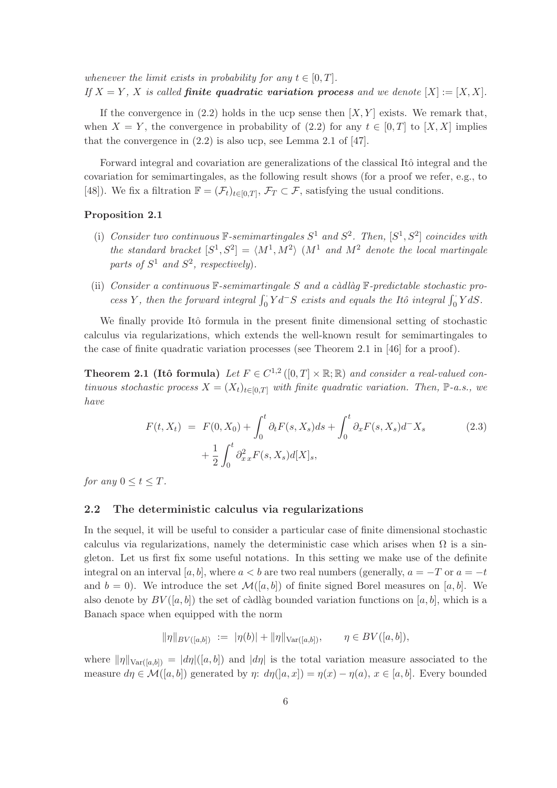whenever the limit exists in probability for any  $t \in [0, T]$ . If  $X = Y$ , X is called **finite quadratic variation process** and we denote  $[X] := [X, X]$ .

If the convergence in  $(2.2)$  holds in the ucp sense then  $[X, Y]$  exists. We remark that, when  $X = Y$ , the convergence in probability of (2.2) for any  $t \in [0, T]$  to [X, X] implies that the convergence in  $(2.2)$  is also ucp, see Lemma 2.1 of [47].

Forward integral and covariation are generalizations of the classical Itô integral and the covariation for semimartingales, as the following result shows (for a proof we refer, e.g., to [48]). We fix a filtration  $\mathbb{F} = (\mathcal{F}_t)_{t \in [0,T]}, \mathcal{F}_T \subset \mathcal{F}$ , satisfying the usual conditions.

#### Proposition 2.1

- (i) Consider two continuous  $\mathbb{F}$ -semimartingales  $S^1$  and  $S^2$ . Then,  $[S^1, S^2]$  coincides with the standard bracket  $[S^1, S^2] = \langle M^1, M^2 \rangle$   $(M^1$  and  $M^2$  denote the local martingale parts of  $S^1$  and  $S^2$ , respectively).
- (ii) Consider a continuous  $\mathbb{F}$ -semimartingale S and a càdlàg  $\mathbb{F}$ -predictable stochastic process Y, then the forward integral  $\int_0^{\cdot} Y d^{-}S$  exists and equals the Itô integral  $\int_0^{\cdot} Y dS$ .

We finally provide Itô formula in the present finite dimensional setting of stochastic calculus via regularizations, which extends the well-known result for semimartingales to the case of finite quadratic variation processes (see Theorem 2.1 in [46] for a proof).

**Theorem 2.1 (Itô formula)** Let  $F \in C^{1,2}([0,T] \times \mathbb{R}; \mathbb{R})$  and consider a real-valued continuous stochastic process  $X = (X_t)_{t \in [0,T]}$  with finite quadratic variation. Then, P-a.s., we have

$$
F(t, X_t) = F(0, X_0) + \int_0^t \partial_t F(s, X_s) ds + \int_0^t \partial_x F(s, X_s) d^- X_s
$$
  
+  $\frac{1}{2} \int_0^t \partial_{xx}^2 F(s, X_s) d[X]_s,$  (2.3)

for any  $0 \le t \le T$ .

#### 2.2 The deterministic calculus via regularizations

In the sequel, it will be useful to consider a particular case of finite dimensional stochastic calculus via regularizations, namely the deterministic case which arises when  $\Omega$  is a singleton. Let us first fix some useful notations. In this setting we make use of the definite integral on an interval [a, b], where  $a < b$  are two real numbers (generally,  $a = -T$  or  $a = -t$ and  $b = 0$ . We introduce the set  $\mathcal{M}([a, b])$  of finite signed Borel measures on [a, b]. We also denote by  $BV([a, b])$  the set of càdlàg bounded variation functions on [a, b], which is a Banach space when equipped with the norm

$$
\|\eta\|_{BV([a,b])} := \|\eta(b)\| + \|\eta\|_{\text{Var}([a,b])}, \qquad \eta \in BV([a,b]),
$$

where  $\|\eta\|_{\text{Var}([a,b])} = |d\eta|([a,b])$  and  $|d\eta|$  is the total variation measure associated to the measure  $d\eta \in \mathcal{M}([a, b])$  generated by  $\eta: d\eta([a, x]) = \eta(x) - \eta(a), x \in [a, b]$ . Every bounded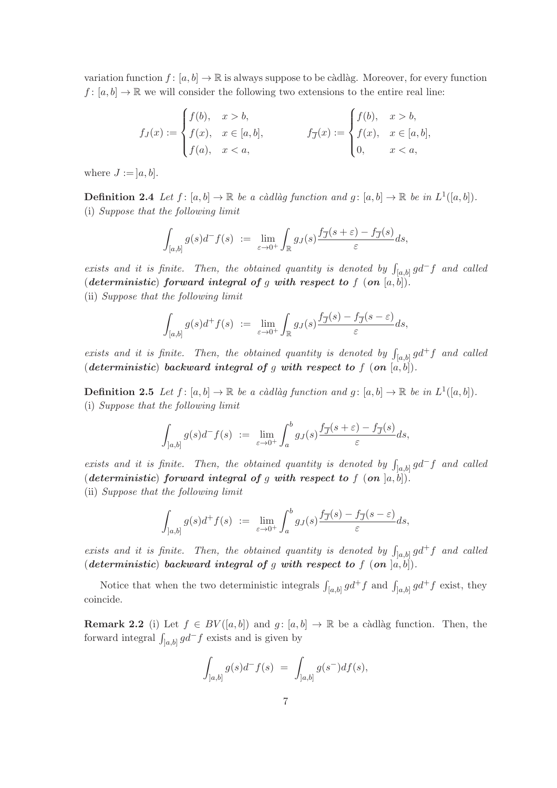variation function  $f : [a, b] \to \mathbb{R}$  is always suppose to be càdlàg. Moreover, for every function  $f: [a, b] \to \mathbb{R}$  we will consider the following two extensions to the entire real line:

$$
f_J(x) := \begin{cases} f(b), & x > b, \\ f(x), & x \in [a, b], \\ f(a), & x < a, \end{cases} \qquad f_{\overline{J}}(x) := \begin{cases} f(b), & x > b, \\ f(x), & x \in [a, b], \\ 0, & x < a, \end{cases}
$$

where  $J := [a, b]$ .

**Definition 2.4** Let  $f: [a, b] \to \mathbb{R}$  be a càdlàg function and  $g: [a, b] \to \mathbb{R}$  be in  $L^1([a, b])$ . (i) Suppose that the following limit

$$
\int_{[a,b]} g(s)d^-f(s) \ := \ \lim_{\varepsilon \to 0^+} \int_{\mathbb{R}} g_J(s) \frac{f_{\overline{J}}(s+\varepsilon) - f_{\overline{J}}(s)}{\varepsilon} ds,
$$

exists and it is finite. Then, the obtained quantity is denoted by  $\int_{[a,b]} g d^- f$  and called (deterministic) forward integral of g with respect to f  $($ on  $[a, b])$ . (ii) Suppose that the following limit

$$
\int_{[a,b]} g(s)d^+f(s) \ := \ \lim_{\varepsilon \to 0^+} \int_{\mathbb{R}} g_J(s) \frac{f_{\overline{J}}(s) - f_{\overline{J}}(s-\varepsilon)}{\varepsilon} ds,
$$

exists and it is finite. Then, the obtained quantity is denoted by  $\int_{[a,b]} g d^+ f$  and called (deterministic) backward integral of g with respect to f (on  $[a, b]$ ).

**Definition 2.5** Let  $f : [a, b] \to \mathbb{R}$  be a càdlàg function and  $g : [a, b] \to \mathbb{R}$  be in  $L^1([a, b])$ . (i) Suppose that the following limit

$$
\int_{]a,b]} g(s)d^-f(s) \ := \ \lim_{\varepsilon \to 0^+} \int_a^b g_J(s) \frac{f_{\overline{J}}(s+\varepsilon) - f_{\overline{J}}(s)}{\varepsilon} ds,
$$

exists and it is finite. Then, the obtained quantity is denoted by  $\int_{[a,b]} g d^- f$  and called (deterministic) forward integral of g with respect to f  $($ on  $]a, b]$ ). (ii) Suppose that the following limit

$$
\int_{]a,b]} g(s)d^+f(s) \ := \ \lim_{\varepsilon \to 0^+} \int_a^b g_J(s) \frac{f_{\overline{J}}(s) - f_{\overline{J}}(s-\varepsilon)}{\varepsilon} ds,
$$

exists and it is finite. Then, the obtained quantity is denoted by  $\int_{]a,b]} g d^+ f$  and called (deterministic) backward integral of g with respect to f  $($ on  $]a, b]$ ).

Notice that when the two deterministic integrals  $\int_{[a,b]} g d^+ f$  and  $\int_{[a,b]} g d^+ f$  exist, they coincide.

**Remark 2.2** (i) Let  $f \in BV([a, b])$  and  $g: [a, b] \to \mathbb{R}$  be a càdlàg function. Then, the forward integral  $\int_{a,b]} g d^- f$  exists and is given by

$$
\int_{]a,b]} g(s)d^-f(s) = \int_{]a,b]} g(s^-)df(s),
$$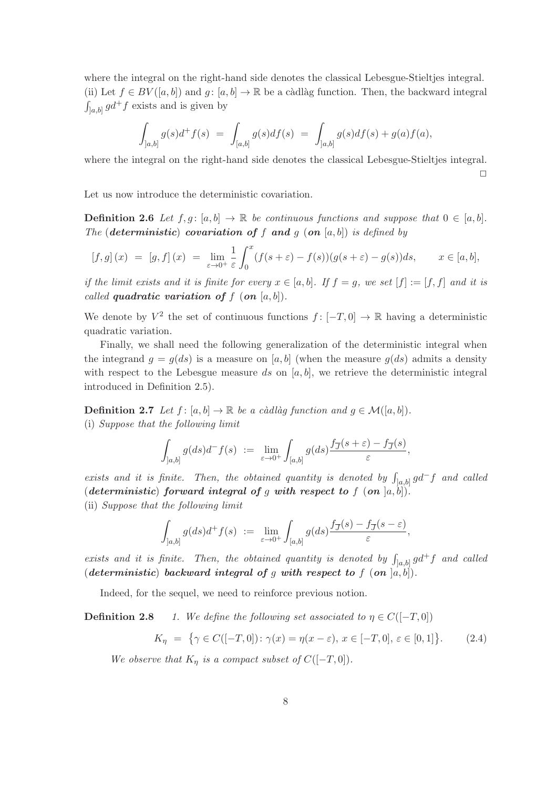where the integral on the right-hand side denotes the classical Lebesgue-Stieltjes integral. (ii) Let  $f \in BV([a, b])$  and  $g: [a, b] \to \mathbb{R}$  be a càdlàg function. Then, the backward integral  $\int_{[a,b]} g d^+ f$  exists and is given by

$$
\int_{]a,b]} g(s)d^+f(s) \ = \ \int_{[a,b]} g(s)df(s) \ = \ \int_{]a,b]} g(s)df(s) + g(a)f(a),
$$

where the integral on the right-hand side denotes the classical Lebesgue-Stieltjes integral.  $\Box$ 

Let us now introduce the deterministic covariation.

**Definition 2.6** Let  $f, g: [a, b] \to \mathbb{R}$  be continuous functions and suppose that  $0 \in [a, b]$ . The (deterministic) covariation of f and g (on  $[a, b]$ ) is defined by

$$
[f,g](x) = [g,f](x) = \lim_{\varepsilon \to 0^+} \frac{1}{\varepsilon} \int_0^x (f(s+\varepsilon) - f(s))(g(s+\varepsilon) - g(s))ds, \qquad x \in [a,b],
$$

if the limit exists and it is finite for every  $x \in [a, b]$ . If  $f = g$ , we set  $[f] := [f, f]$  and it is called quadratic variation of  $f$  (on  $[a, b]$ ).

We denote by  $V^2$  the set of continuous functions  $f: [-T, 0] \to \mathbb{R}$  having a deterministic quadratic variation.

Finally, we shall need the following generalization of the deterministic integral when the integrand  $g = g(ds)$  is a measure on [a, b] (when the measure  $g(ds)$  admits a density with respect to the Lebesgue measure ds on  $[a, b]$ , we retrieve the deterministic integral introduced in Definition 2.5).

**Definition 2.7** Let  $f : [a, b] \to \mathbb{R}$  be a càdlàg function and  $g \in \mathcal{M}([a, b])$ . (i) Suppose that the following limit

$$
\int_{]a,b]} g(ds)d^- f(s) \ := \ \lim_{\varepsilon \to 0^+} \int_{[a,b]} g(ds) \frac{f_{\overline{J}}(s+\varepsilon) - f_{\overline{J}}(s)}{\varepsilon},
$$

exists and it is finite. Then, the obtained quantity is denoted by  $\int_{[a,b]} g d^- f$  and called (deterministic) forward integral of g with respect to f  $($ on  $]a, b]$ ). (ii) Suppose that the following limit

$$
\int_{]a,b]} g(ds)d^+f(s) \ := \ \lim_{\varepsilon\to 0^+}\int_{[a,b]} g(ds)\frac{f_{\overline{J}}(s)-f_{\overline{J}}(s-\varepsilon)}{\varepsilon},
$$

exists and it is finite. Then, the obtained quantity is denoted by  $\int_{]a,b]} g d^+ f$  and called (deterministic) backward integral of g with respect to f  $($ on  $]a, b]$ ).

Indeed, for the sequel, we need to reinforce previous notion.

**Definition 2.8** 1. We define the following set associated to  $\eta \in C([-T, 0])$ 

$$
K_{\eta} = \{ \gamma \in C([-T, 0]) \colon \gamma(x) = \eta(x - \varepsilon), \, x \in [-T, 0], \, \varepsilon \in [0, 1] \}. \tag{2.4}
$$

We observe that  $K_n$  is a compact subset of  $C([-T, 0])$ .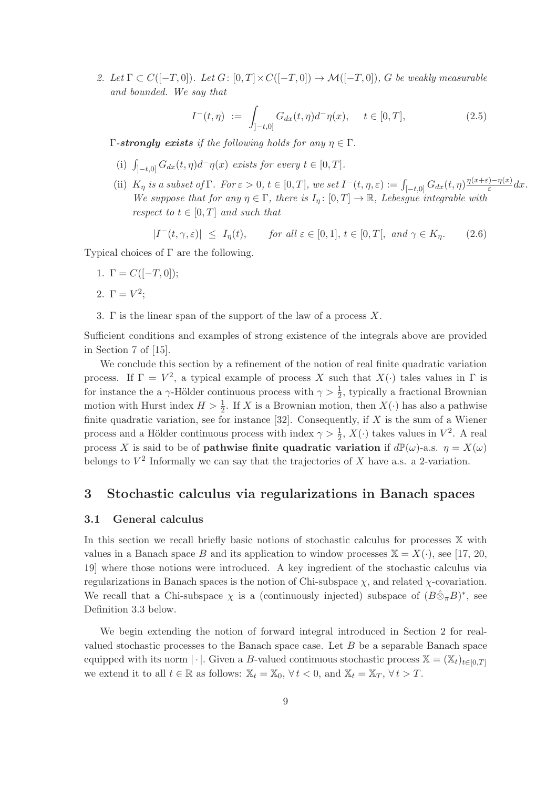2. Let  $\Gamma \subset C([-T,0])$ . Let  $G: [0,T] \times C([-T,0]) \to \mathcal{M}([-T,0])$ , G be weakly measurable and bounded. We say that

$$
I^{-}(t,\eta) := \int_{]-t,0]} G_{dx}(t,\eta)d^{-}\eta(x), \quad t \in [0,T],
$$
\n(2.5)

Γ-strongly exists if the following holds for any  $η ∈ Γ$ .

- (i)  $\int_{[-t,0]} G_{dx}(t,\eta) d^{\dagger} \eta(x)$  exists for every  $t \in [0,T]$ .
- (ii)  $K_{\eta}$  is a subset of  $\Gamma$ . For  $\varepsilon > 0$ ,  $t \in [0, T]$ , we set  $I^-(t, \eta, \varepsilon) := \int_{[-t, 0]} G_{dx}(t, \eta) \frac{\eta(x+\varepsilon) \eta(x)}{\varepsilon}$  $\frac{\partial -\eta(x)}{\partial \varepsilon}dx$ . We suppose that for any  $\eta \in \Gamma$ , there is  $I_{\eta} : [0, T] \to \mathbb{R}$ , Lebesgue integrable with respect to  $t \in [0, T]$  and such that

$$
|I^-(t,\gamma,\varepsilon)| \le I_\eta(t), \qquad \text{for all } \varepsilon \in [0,1], t \in [0,T[, \text{ and } \gamma \in K_\eta. \tag{2.6}
$$

Typical choices of Γ are the following.

- 1.  $\Gamma = C([-T, 0])$ ;
- 2.  $\Gamma = V^2$ ;
- 3. Γ is the linear span of the support of the law of a process  $X$ .

Sufficient conditions and examples of strong existence of the integrals above are provided in Section 7 of [15].

We conclude this section by a refinement of the notion of real finite quadratic variation process. If  $\Gamma = V^2$ , a typical example of process X such that  $X(\cdot)$  tales values in  $\Gamma$  is for instance the a  $\gamma$ -Hölder continuous process with  $\gamma > \frac{1}{2}$ , typically a fractional Brownian motion with Hurst index  $H > \frac{1}{2}$ . If X is a Brownian motion, then  $X(\cdot)$  has also a pathwise finite quadratic variation, see for instance [32]. Consequently, if  $X$  is the sum of a Wiener process and a Hölder continuous process with index  $\gamma > \frac{1}{2}$ ,  $X(\cdot)$  takes values in  $V^2$ . A real process X is said to be of **pathwise finite quadratic variation** if  $d\mathbb{P}(\omega)$ -a.s.  $\eta = X(\omega)$ belongs to  $V^2$  Informally we can say that the trajectories of X have a.s. a 2-variation.

## 3 Stochastic calculus via regularizations in Banach spaces

#### 3.1 General calculus

In this section we recall briefly basic notions of stochastic calculus for processes X with values in a Banach space B and its application to window processes  $\mathbb{X} = X(\cdot)$ , see [17, 20, 19] where those notions were introduced. A key ingredient of the stochastic calculus via regularizations in Banach spaces is the notion of Chi-subspace  $\chi$ , and related  $\chi$ -covariation. We recall that a Chi-subspace  $\chi$  is a (continuously injected) subspace of  $(B\hat{\otimes}_{\pi}B)^*$ , see Definition 3.3 below.

We begin extending the notion of forward integral introduced in Section 2 for realvalued stochastic processes to the Banach space case. Let  $B$  be a separable Banach space equipped with its norm  $|\cdot|$ . Given a B-valued continuous stochastic process  $\mathbb{X} = (\mathbb{X}_t)_{t\in[0,T]}$ we extend it to all  $t \in \mathbb{R}$  as follows:  $\mathbb{X}_t = \mathbb{X}_0$ ,  $\forall t < 0$ , and  $\mathbb{X}_t = \mathbb{X}_T$ ,  $\forall t > T$ .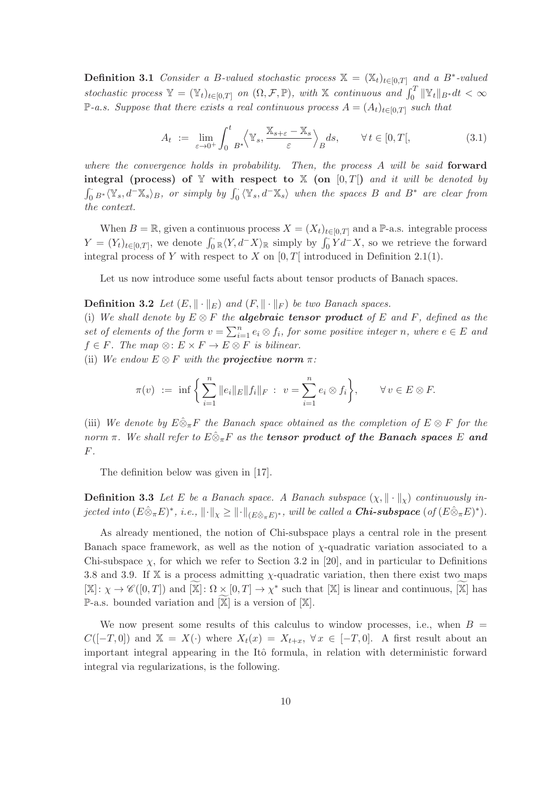**Definition 3.1** Consider a B-valued stochastic process  $\mathbb{X} = (\mathbb{X}_t)_{t \in [0,T]}$  and a B<sup>\*</sup>-valued stochastic process  $\mathbb{Y} = (\mathbb{Y}_t)_{t \in [0,T]}$  on  $(\Omega, \mathcal{F}, \mathbb{P})$ , with  $\mathbb{X}$  continuous and  $\int_0^T ||\mathbb{Y}_t||_{B^*} dt < \infty$ P-a.s. Suppose that there exists a real continuous process  $A = (A_t)_{t∈[0,T]}$  such that

$$
A_t := \lim_{\varepsilon \to 0^+} \int_0^t B^* \left\langle \mathbb{Y}_s, \frac{\mathbb{X}_{s+\varepsilon} - \mathbb{X}_s}{\varepsilon} \right\rangle_B ds, \qquad \forall \, t \in [0, T[, \tag{3.1}
$$

where the convergence holds in probability. Then, the process  $A$  will be said forward integral (process) of  $Y$  with respect to  $X$  (on [0, T]) and it will be denoted by  $\int_0^{\cdot} B^* \langle \mathbb{Y}_s, d^-\mathbb{X}_s \rangle_B$ , or simply by  $\int_0^{\cdot} \langle \mathbb{Y}_s, d^-\mathbb{X}_s \rangle$  when the spaces B and  $B^*$  are clear from the context.

When  $B = \mathbb{R}$ , given a continuous process  $X = (X_t)_{t \in [0,T]}$  and a P-a.s. integrable process  $Y = (Y_t)_{t \in [0,T]},$  we denote  $\int_0^{\cdot} \mathbb{R} \langle Y, d^-X \rangle_{\mathbb{R}}$  simply by  $\int_0^{\cdot} Y d^-X$ , so we retrieve the forward integral process of Y with respect to X on  $[0, T]$  introduced in Definition 2.1(1).

Let us now introduce some useful facts about tensor products of Banach spaces.

**Definition 3.2** Let  $(E, \|\cdot\|_E)$  and  $(F, \|\cdot\|_F)$  be two Banach spaces.

(i) We shall denote by  $E \otimes F$  the **algebraic tensor product** of E and F, defined as the set of elements of the form  $v = \sum_{i=1}^{n} e_i \otimes f_i$ , for some positive integer n, where  $e \in E$  and  $f \in F$ . The map  $\otimes : E \times F \to E \otimes F$  is bilinear.

(ii) We endow  $E \otimes F$  with the **projective norm**  $\pi$ :

$$
\pi(v) := \inf \left\{ \sum_{i=1}^n ||e_i||_E ||f_i||_F : v = \sum_{i=1}^n e_i \otimes f_i \right\}, \quad \forall v \in E \otimes F.
$$

(iii) We denote by  $E\hat{\otimes}_{\pi}F$  the Banach space obtained as the completion of  $E\otimes F$  for the norm  $\pi$ . We shall refer to  $E \hat{\otimes}_{\pi} F$  as the **tensor product of the Banach spaces** E and F.

The definition below was given in [17].

**Definition 3.3** Let E be a Banach space. A Banach subspace  $(\chi, \|\cdot\|_{\chi})$  continuously injected into  $(E\hat{\otimes}_{\pi}E)^*$ , i.e.,  $\|\cdot\|_{\chi} \geq \|\cdot\|_{(E\hat{\otimes}_{\pi}E)^*}$ , will be called a **Chi-subspace**  $(of (E\hat{\otimes}_{\pi}E)^*)$ .

As already mentioned, the notion of Chi-subspace plays a central role in the present Banach space framework, as well as the notion of  $\chi$ -quadratic variation associated to a Chi-subspace  $\chi$ , for which we refer to Section 3.2 in [20], and in particular to Definitions 3.8 and 3.9. If X is a process admitting  $\chi$ -quadratic variation, then there exist two maps  $[\mathbb{X}]: \chi \to \mathscr{C}([0,T])$  and  $[\mathbb{X}]: \Omega \times [0,T] \to \chi^*$  such that  $[\mathbb{X}]$  is linear and continuous,  $[\mathbb{X}]$  has  $\mathbb{P}\text{-a.s.}$  bounded variation and  $[\mathbb{X}]$  is a version of  $[\mathbb{X}].$ 

We now present some results of this calculus to window processes, i.e., when  $B =$  $C([-T, 0])$  and  $\mathbb{X} = X(\cdot)$  where  $X_t(x) = X_{t+x}$ ,  $\forall x \in [-T, 0]$ . A first result about an important integral appearing in the Itô formula, in relation with deterministic forward integral via regularizations, is the following.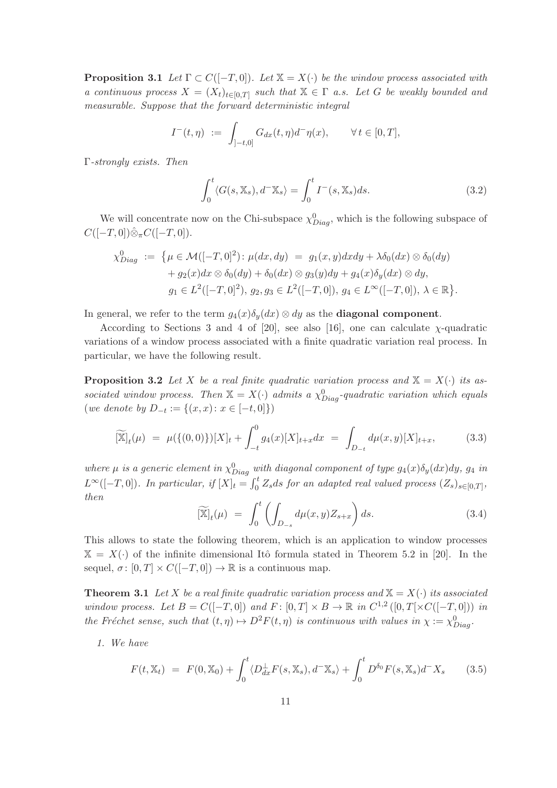**Proposition 3.1** Let  $\Gamma \subset C([-T, 0])$ . Let  $\mathbb{X} = X(\cdot)$  be the window process associated with a continuous process  $X = (X_t)_{t \in [0,T]}$  such that  $X \in \Gamma$  a.s. Let G be weakly bounded and measurable. Suppose that the forward deterministic integral

$$
I^-(t,\eta) := \int_{]-t,0]} G_{dx}(t,\eta) d^-\eta(x), \qquad \forall \, t \in [0,T],
$$

Γ-strongly exists. Then

$$
\int_0^t \langle G(s, \mathbb{X}_s), d^- \mathbb{X}_s \rangle = \int_0^t I^-(s, \mathbb{X}_s) ds.
$$
 (3.2)

We will concentrate now on the Chi-subspace  $\chi_{Diag}^0$ , which is the following subspace of  $C([-T, 0])\hat{\otimes}_{\pi}C([-T, 0]).$ 

$$
\chi_{Diag}^{0} := \{ \mu \in \mathcal{M}([-T, 0]^2) : \mu(dx, dy) = g_1(x, y) dx dy + \lambda \delta_0(dx) \otimes \delta_0(dy) + g_2(x) dx \otimes \delta_0(dy) + \delta_0(dx) \otimes g_3(y) dy + g_4(x) \delta_y(dx) \otimes dy, g_1 \in L^2([-T, 0]^2), g_2, g_3 \in L^2([-T, 0]), g_4 \in L^{\infty}([-T, 0]), \lambda \in \mathbb{R} \}.
$$

In general, we refer to the term  $q_4(x)\delta_u(dx) \otimes dy$  as the **diagonal component**.

According to Sections 3 and 4 of [20], see also [16], one can calculate  $\chi$ -quadratic variations of a window process associated with a finite quadratic variation real process. In particular, we have the following result.

**Proposition 3.2** Let X be a real finite quadratic variation process and  $X = X(\cdot)$  its associated window process. Then  $\mathbb{X} = X(\cdot)$  admits a  $\chi^0_{Diag}$ -quadratic variation which equals  $(we denote by D_{-t} := \{(x, x) : x \in [-t, 0]\})$ 

$$
\widetilde{[\mathbb{X}]}_t(\mu) = \mu(\{(0,0)\})[X]_t + \int_{-t}^0 g_4(x)[X]_{t+x} dx = \int_{D_{-t}} d\mu(x,y)[X]_{t+x}, \quad (3.3)
$$

where  $\mu$  is a generic element in  $\chi^0_{Diag}$  with diagonal component of type  $g_4(x)\delta_y(dx)dy$ ,  $g_4$  in  $L^{\infty}([-T,0])$ . In particular, if  $[X]_t = \int_0^t Z_s ds$  for an adapted real valued process  $(Z_s)_{s \in [0,T]}$ , then

$$
\widetilde{[\mathbb{X}]}_t(\mu) = \int_0^t \left( \int_{D_{-s}} d\mu(x, y) Z_{s+x} \right) ds. \tag{3.4}
$$

This allows to state the following theorem, which is an application to window processes  $X = X(\cdot)$  of the infinite dimensional Itô formula stated in Theorem 5.2 in [20]. In the sequel,  $\sigma: [0, T] \times C([-T, 0]) \to \mathbb{R}$  is a continuous map.

**Theorem 3.1** Let X be a real finite quadratic variation process and  $X = X(\cdot)$  its associated window process. Let  $B = C([-T, 0])$  and  $F: [0, T] \times B \to \mathbb{R}$  in  $C^{1,2}([0, T] \times C([-T, 0]))$  in the Fréchet sense, such that  $(t, \eta) \mapsto D^2F(t, \eta)$  is continuous with values in  $\chi := \chi_{Diag}^0$ .

1. We have

$$
F(t, \mathbb{X}_t) = F(0, \mathbb{X}_0) + \int_0^t \langle D_{dx}^{\perp} F(s, \mathbb{X}_s), d^- \mathbb{X}_s \rangle + \int_0^t D^{\delta_0} F(s, \mathbb{X}_s) d^- X_s \qquad (3.5)
$$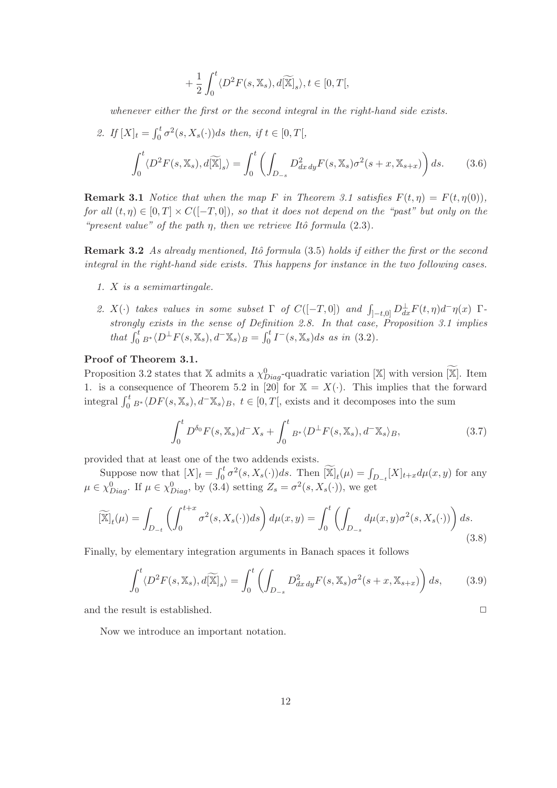$$
+\frac{1}{2}\int_0^t \langle D^2F(s, \mathbb{X}_s), d[\widetilde{\mathbb{X}}]_s \rangle, t \in [0, T[,
$$

whenever either the first or the second integral in the right-hand side exists.

2. If 
$$
[X]_t = \int_0^t \sigma^2(s, X_s(\cdot))ds
$$
 then, if  $t \in [0, T]$ ,  

$$
\int_0^t \langle D^2 F(s, \mathbb{X}_s), d[\mathbb{X}]_s \rangle = \int_0^t \left( \int_{D_{-s}} D^2_{dx\,dy} F(s, \mathbb{X}_s) \sigma^2(s+x, \mathbb{X}_{s+x}) \right) ds.
$$
(3.6)

**Remark 3.1** Notice that when the map F in Theorem 3.1 satisfies  $F(t, \eta) = F(t, \eta(0)),$ for all  $(t, \eta) \in [0, T] \times C([-T, 0])$ , so that it does not depend on the "past" but only on the "present value" of the path  $\eta$ , then we retrieve Itô formula (2.3).

Remark 3.2 As already mentioned, Itô formula (3.5) holds if either the first or the second integral in the right-hand side exists. This happens for instance in the two following cases.

- 1. X is a semimartingale.
- 2.  $X(\cdot)$  takes values in some subset  $\Gamma$  of  $C([-T, 0])$  and  $\int_{]-t,0]} D_{dx}^{\perp} F(t, \eta) d^{\top} \eta(x)$   $\Gamma$ strongly exists in the sense of Definition 2.8. In that case, Proposition 3.1 implies that  $\int_0^t B^* \langle D^{\perp} F(s, \mathbb{X}_s), d^- \mathbb{X}_s \rangle_B = \int_0^t I^-(s, \mathbb{X}_s) ds$  as in (3.2).

#### Proof of Theorem 3.1.

Proposition 3.2 states that X admits a  $\chi_{Diag}^0$ -quadratic variation [X] with version [X]. Item 1. is a consequence of Theorem 5.2 in [20] for  $\mathbb{X} = X(\cdot)$ . This implies that the forward integral  $\int_0^t B^* \langle DF(s, \mathbb{X}_s), d^-\mathbb{X}_s \rangle_B$ ,  $t \in [0, T[,$  exists and it decomposes into the sum

$$
\int_0^t D^{\delta_0} F(s, \mathbb{X}_s) d^- X_s + \int_0^t B^* \langle D^\perp F(s, \mathbb{X}_s), d^- \mathbb{X}_s \rangle_B, \tag{3.7}
$$

provided that at least one of the two addends exists.

Suppose now that  $[X]_t = \int_0^t \sigma^2(s, X_s(\cdot))ds$ . Then  $\widetilde{X}_t(\mu) = \int_{D_{-t}} [X]_{t+x} d\mu(x, y)$  for any  $\mu \in \chi_{Diag}^0$ . If  $\mu \in \chi_{Diag}^0$ , by (3.4) setting  $Z_s = \sigma^2(s, X_s(\cdot))$ , we get

$$
\widetilde{[\mathbb{X}]}_t(\mu) = \int_{D_{-t}} \left( \int_0^{t+x} \sigma^2(s, X_s(\cdot)) ds \right) d\mu(x, y) = \int_0^t \left( \int_{D_{-s}} d\mu(x, y) \sigma^2(s, X_s(\cdot)) \right) ds.
$$
\n(3.8)

Finally, by elementary integration arguments in Banach spaces it follows

$$
\int_0^t \langle D^2 F(s, \mathbb{X}_s), d[\widetilde{\mathbb{X}}]_s \rangle = \int_0^t \left( \int_{D_{-s}} D^2_{dx\,dy} F(s, \mathbb{X}_s) \sigma^2(s+x, \mathbb{X}_{s+x}) \right) ds, \tag{3.9}
$$

and the result is established.  $\Box$ 

Now we introduce an important notation.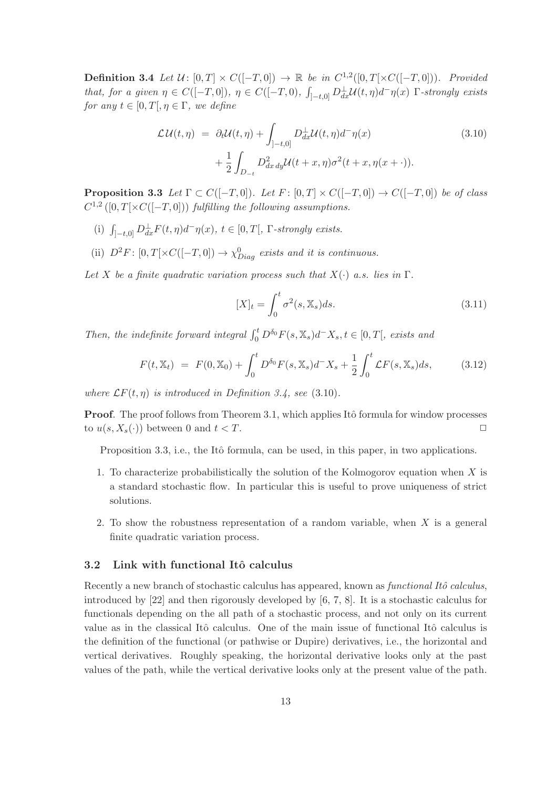**Definition 3.4** Let  $\mathcal{U}$ :  $[0,T] \times C([-T,0]) \rightarrow \mathbb{R}$  be in  $C^{1,2}([0,T[ \times C([-T,0]) )$ . Provided that, for a given  $\eta \in C([-T,0])$ ,  $\eta \in C([-T,0), \int_{]-t,0]} D_{dx}^{\perp} \mathcal{U}(t,\eta) d^{\perp} \eta(x)$   $\Gamma$ -strongly exists for any  $t \in [0, T], \eta \in \Gamma$ , we define

$$
\mathcal{L}\mathcal{U}(t,\eta) = \partial_t \mathcal{U}(t,\eta) + \int_{]-t,0]} D_{dx}^{\perp} \mathcal{U}(t,\eta) d^{\perp}\eta(x)
$$
\n
$$
+ \frac{1}{2} \int_{D_{-t}} D_{dx\,dy}^2 \mathcal{U}(t+x,\eta) \sigma^2(t+x,\eta(x+\cdot)).
$$
\n(3.10)

**Proposition 3.3** Let  $\Gamma \subset C([-T,0])$ . Let  $F : [0,T] \times C([-T,0]) \rightarrow C([-T,0])$  be of class  $C^{1,2}([0,T[\times C([-T,0]))$  fulfilling the following assumptions.

- (i)  $\int_{[-t,0]} D^{\perp}_{dx} F(t,\eta) d^{-} \eta(x), t \in [0,T[, \Gamma\text{-strongly exists.}$
- (ii)  $D^2F: [0, T[ \times C([-T, 0]) \to \chi_{Diag}^0 \text{ exists and it is continuous.}$

Let X be a finite quadratic variation process such that  $X(\cdot)$  a.s. lies in  $\Gamma$ .

$$
[X]_t = \int_0^t \sigma^2(s, \mathbb{X}_s) ds. \tag{3.11}
$$

Then, the indefinite forward integral  $\int_0^t D^{\delta_0} F(s, \mathbb{X}_s) d^- X_s, t \in [0, T],$  exists and

$$
F(t, \mathbb{X}_t) = F(0, \mathbb{X}_0) + \int_0^t D^{\delta_0} F(s, \mathbb{X}_s) d^- X_s + \frac{1}{2} \int_0^t \mathcal{L} F(s, \mathbb{X}_s) ds, \tag{3.12}
$$

where  $\mathcal{L}F(t,\eta)$  is introduced in Definition 3.4, see (3.10).

**Proof.** The proof follows from Theorem 3.1, which applies Itô formula for window processes to  $u(s, X_s(\cdot))$  between 0 and  $t < T$ .

Proposition 3.3, i.e., the Itô formula, can be used, in this paper, in two applications.

- 1. To characterize probabilistically the solution of the Kolmogorov equation when  $X$  is a standard stochastic flow. In particular this is useful to prove uniqueness of strict solutions.
- 2. To show the robustness representation of a random variable, when X is a general finite quadratic variation process.

## 3.2 Link with functional Itô calculus

Recently a new branch of stochastic calculus has appeared, known as *functional Itô calculus*, introduced by [22] and then rigorously developed by [6, 7, 8]. It is a stochastic calculus for functionals depending on the all path of a stochastic process, and not only on its current value as in the classical Itô calculus. One of the main issue of functional Itô calculus is the definition of the functional (or pathwise or Dupire) derivatives, i.e., the horizontal and vertical derivatives. Roughly speaking, the horizontal derivative looks only at the past values of the path, while the vertical derivative looks only at the present value of the path.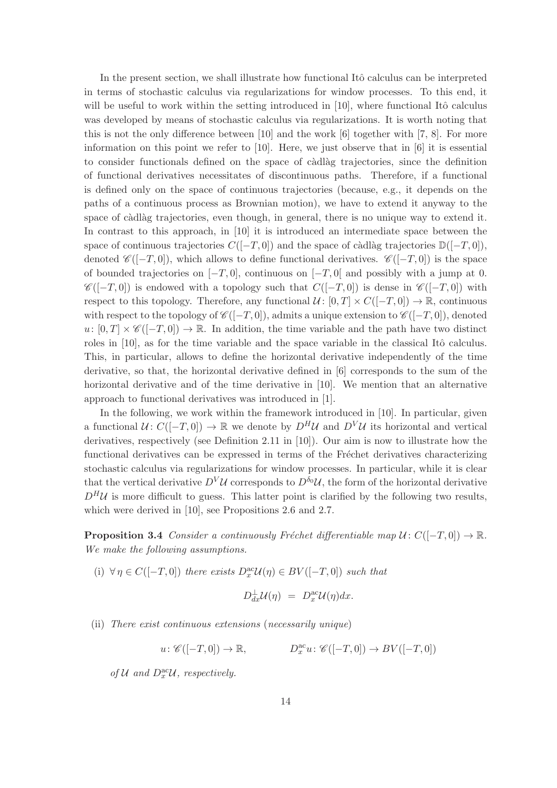In the present section, we shall illustrate how functional Itô calculus can be interpreted in terms of stochastic calculus via regularizations for window processes. To this end, it will be useful to work within the setting introduced in  $[10]$ , where functional Itô calculus was developed by means of stochastic calculus via regularizations. It is worth noting that this is not the only difference between [10] and the work [6] together with [7, 8]. For more information on this point we refer to [10]. Here, we just observe that in [6] it is essential to consider functionals defined on the space of càdlàg trajectories, since the definition of functional derivatives necessitates of discontinuous paths. Therefore, if a functional is defined only on the space of continuous trajectories (because, e.g., it depends on the paths of a continuous process as Brownian motion), we have to extend it anyway to the space of càdlàg trajectories, even though, in general, there is no unique way to extend it. In contrast to this approach, in [10] it is introduced an intermediate space between the space of continuous trajectories  $C([-T, 0])$  and the space of càdlàg trajectories  $\mathbb{D}([-T, 0])$ , denoted  $\mathscr{C}([-T,0])$ , which allows to define functional derivatives.  $\mathscr{C}([-T,0])$  is the space of bounded trajectories on  $[-T, 0]$ , continuous on  $[-T, 0]$  and possibly with a jump at 0.  $\mathscr{C}([-T,0])$  is endowed with a topology such that  $C([-T,0])$  is dense in  $\mathscr{C}([-T,0])$  with respect to this topology. Therefore, any functional  $\mathcal{U} \colon [0,T] \times C([-T,0]) \to \mathbb{R}$ , continuous with respect to the topology of  $\mathscr{C}([-T,0])$ , admits a unique extension to  $\mathscr{C}([-T,0])$ , denoted  $u: [0, T] \times \mathscr{C}([-T, 0]) \to \mathbb{R}$ . In addition, the time variable and the path have two distinct roles in [10], as for the time variable and the space variable in the classical Itô calculus. This, in particular, allows to define the horizontal derivative independently of the time derivative, so that, the horizontal derivative defined in [6] corresponds to the sum of the horizontal derivative and of the time derivative in [10]. We mention that an alternative approach to functional derivatives was introduced in [1].

In the following, we work within the framework introduced in [10]. In particular, given a functional  $U: C([-T, 0]) \to \mathbb{R}$  we denote by  $D^H U$  and  $D^V U$  its horizontal and vertical derivatives, respectively (see Definition 2.11 in [10]). Our aim is now to illustrate how the functional derivatives can be expressed in terms of the Fréchet derivatives characterizing stochastic calculus via regularizations for window processes. In particular, while it is clear that the vertical derivative  $D^V \mathcal{U}$  corresponds to  $D^{\delta_0} \mathcal{U}$ , the form of the horizontal derivative  $D^H\mathcal{U}$  is more difficult to guess. This latter point is clarified by the following two results, which were derived in [10], see Propositions 2.6 and 2.7.

**Proposition 3.4** Consider a continuously Fréchet differentiable map  $U : C([-T, 0]) \to \mathbb{R}$ . We make the following assumptions.

(i)  $\forall \eta \in C([-T, 0])$  there exists  $D_x^{\text{ac}} \mathcal{U}(\eta) \in BV([-T, 0])$  such that

$$
D_{dx}^{\perp} \mathcal{U}(\eta) = D_x^{\text{ac}} \mathcal{U}(\eta) dx.
$$

(ii) There exist continuous extensions (necessarily unique)

$$
u\colon \mathscr{C}([-T,0])\to \mathbb{R}, \qquad D_x^{\text{ac}}u\colon \mathscr{C}([-T,0])\to BV([-T,0])
$$

of  $\mathcal U$  and  $D^{\text{ac}}_x\mathcal U$ , respectively.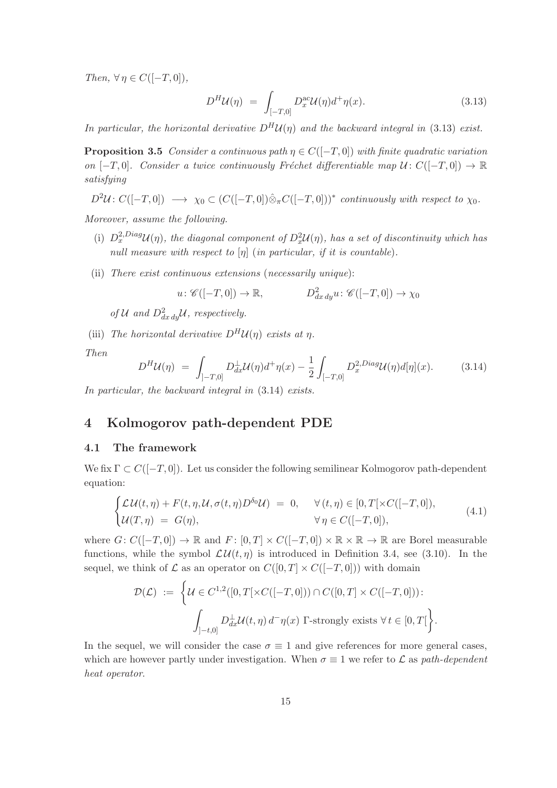Then,  $\forall \eta \in C([-T, 0]),$ 

$$
D^H \mathcal{U}(\eta) = \int_{[-T,0]} D_x^{\text{ac}} \mathcal{U}(\eta) d^+ \eta(x). \tag{3.13}
$$

In particular, the horizontal derivative  $D^H U(\eta)$  and the backward integral in (3.13) exist.

**Proposition 3.5** Consider a continuous path  $\eta \in C([-T, 0])$  with finite quadratic variation on  $[-T, 0]$ . Consider a twice continuously Fréchet differentiable map  $\mathcal{U} : C([-T, 0]) \to \mathbb{R}$ satisfying

 $D^2\mathcal{U}: C([-T,0]) \longrightarrow \chi_0 \subset (C([-T,0])\hat{\otimes}_{\pi}C([-T,0]))^*$  continuously with respect to  $\chi_0$ .

Moreover, assume the following.

- (i)  $D_x^{2,Diag}U(\eta)$ , the diagonal component of  $D_x^2U(\eta)$ , has a set of discontinuity which has null measure with respect to  $[\eta]$  (in particular, if it is countable).
- (ii) There exist continuous extensions (necessarily unique):

$$
u: \mathscr{C}([-T,0]) \to \mathbb{R},
$$
  $D^2_{dx\,dy}u: \mathscr{C}([-T,0]) \to \chi_0$ 

of U and  $D_{dx\,dy}^2$ U, respectively.

(iii) The horizontal derivative  $D^H U(\eta)$  exists at  $\eta$ .

Then

$$
D^H \mathcal{U}(\eta) = \int_{]-T,0]} D_{dx}^{\perp} \mathcal{U}(\eta) d^+\eta(x) - \frac{1}{2} \int_{[-T,0]} D_x^{2,Diag} \mathcal{U}(\eta) d[\eta](x).
$$
 (3.14)

In particular, the backward integral in (3.14) exists.

# 4 Kolmogorov path-dependent PDE

#### 4.1 The framework

We fix  $\Gamma \subset C([-T, 0])$ . Let us consider the following semilinear Kolmogorov path-dependent equation:

$$
\begin{cases}\n\mathcal{L}\mathcal{U}(t,\eta) + F(t,\eta,\mathcal{U},\sigma(t,\eta)D^{\delta_0}\mathcal{U}) = 0, & \forall (t,\eta) \in [0,T[\times C([-T,0]),\\ \n\mathcal{U}(T,\eta) = G(\eta), & \forall \eta \in C([-T,0]),\n\end{cases} (4.1)
$$

where  $G: C([-T, 0]) \to \mathbb{R}$  and  $F: [0, T] \times C([-T, 0]) \times \mathbb{R} \times \mathbb{R} \to \mathbb{R}$  are Borel measurable functions, while the symbol  $\mathcal{L}\mathcal{U}(t,\eta)$  is introduced in Definition 3.4, see (3.10). In the sequel, we think of  $\mathcal L$  as an operator on  $C([0, T] \times C([-T, 0]))$  with domain

$$
\mathcal{D}(\mathcal{L}) := \left\{ \mathcal{U} \in C^{1,2}([0,T[ \times C([-T,0])) \cap C([0,T] \times C([-T,0])) : \int_{]-t,0]} D_{dx}^{\perp} \mathcal{U}(t,\eta) d^{-}\eta(x) \Gamma\text{-strongly exists } \forall t \in [0,T[ \right\}.
$$

In the sequel, we will consider the case  $\sigma \equiv 1$  and give references for more general cases, which are however partly under investigation. When  $\sigma \equiv 1$  we refer to  $\mathcal L$  as path-dependent heat operator.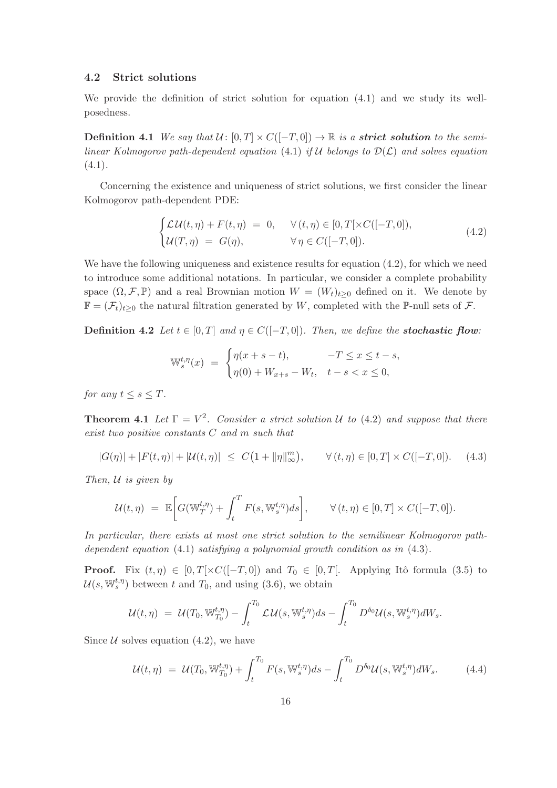#### 4.2 Strict solutions

We provide the definition of strict solution for equation (4.1) and we study its wellposedness.

**Definition 4.1** We say that  $U : [0, T] \times C([-T, 0]) \rightarrow \mathbb{R}$  is a **strict solution** to the semilinear Kolmogorov path-dependent equation (4.1) if U belongs to  $\mathcal{D}(\mathcal{L})$  and solves equation  $(4.1).$ 

Concerning the existence and uniqueness of strict solutions, we first consider the linear Kolmogorov path-dependent PDE:

$$
\begin{cases}\n\mathcal{L}\mathcal{U}(t,\eta) + F(t,\eta) = 0, & \forall (t,\eta) \in [0,T[\times C([-T,0]),\\ \mathcal{U}(T,\eta) = G(\eta), & \forall \eta \in C([-T,0]).\n\end{cases} (4.2)
$$

We have the following uniqueness and existence results for equation (4.2), for which we need to introduce some additional notations. In particular, we consider a complete probability space  $(\Omega, \mathcal{F}, \mathbb{P})$  and a real Brownian motion  $W = (W_t)_{t>0}$  defined on it. We denote by  $\mathbb{F} = (\mathcal{F}_t)_{t>0}$  the natural filtration generated by W, completed with the P-null sets of  $\mathcal{F}$ .

**Definition 4.2** Let  $t \in [0, T]$  and  $\eta \in C([-T, 0])$ . Then, we define the **stochastic flow**:

$$
\mathbb{W}_s^{t,\eta}(x) = \begin{cases} \eta(x+s-t), & -T \le x \le t-s, \\ \eta(0) + W_{x+s} - W_t, & t-s < x \le 0, \end{cases}
$$

for any  $t \leq s \leq T$ .

**Theorem 4.1** Let  $\Gamma = V^2$ . Consider a strict solution U to (4.2) and suppose that there exist two positive constants C and m such that

$$
|G(\eta)| + |F(t, \eta)| + |\mathcal{U}(t, \eta)| \le C\big(1 + \|\eta\|_{\infty}^m\big), \qquad \forall (t, \eta) \in [0, T] \times C([-T, 0]). \tag{4.3}
$$

Then,  $U$  is given by

$$
\mathcal{U}(t,\eta) = \mathbb{E}\bigg[G(\mathbb{W}_T^{t,\eta}) + \int_t^T F(s,\mathbb{W}_s^{t,\eta})ds\bigg], \qquad \forall (t,\eta) \in [0,T] \times C([-T,0]).
$$

In particular, there exists at most one strict solution to the semilinear Kolmogorov pathdependent equation (4.1) satisfying a polynomial growth condition as in (4.3).

**Proof.** Fix  $(t, \eta) \in [0, T] \times C([-T, 0])$  and  $T_0 \in [0, T]$ . Applying Itô formula (3.5) to  $\mathcal{U}(s, \mathbb{W}_s^{t,\eta})$  between t and  $T_0$ , and using (3.6), we obtain

$$
\mathcal{U}(t,\eta) = \mathcal{U}(T_0,\mathbb{W}_{T_0}^{t,\eta}) - \int_t^{T_0} \mathcal{L}\mathcal{U}(s,\mathbb{W}_s^{t,\eta})ds - \int_t^{T_0} D^{\delta_0} \mathcal{U}(s,\mathbb{W}_s^{t,\eta})dW_s.
$$

Since  $U$  solves equation (4.2), we have

$$
\mathcal{U}(t,\eta) = \mathcal{U}(T_0, \mathbb{W}_{T_0}^{t,\eta}) + \int_t^{T_0} F(s, \mathbb{W}_s^{t,\eta}) ds - \int_t^{T_0} D^{\delta_0} \mathcal{U}(s, \mathbb{W}_s^{t,\eta}) dW_s.
$$
 (4.4)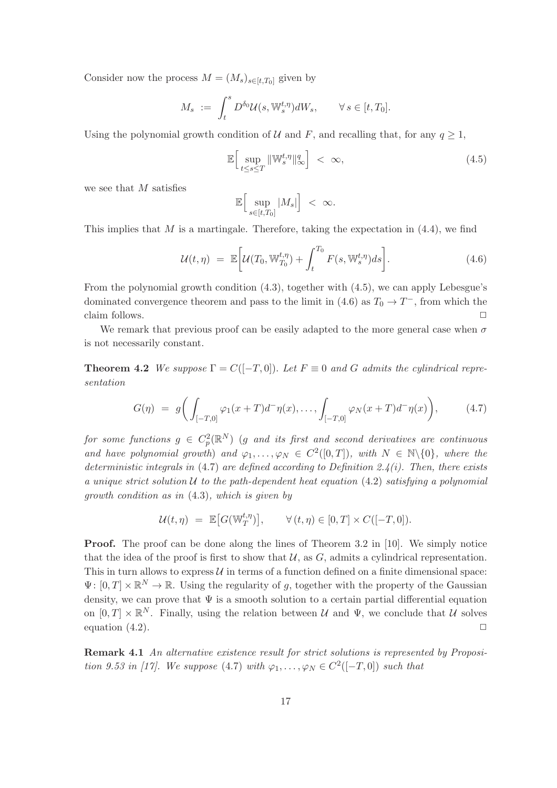Consider now the process  $M = (M_s)_{s \in [t,T_0]}$  given by

$$
M_s := \int_t^s D^{\delta_0} \mathcal{U}(s, \mathbb{W}_s^{t, \eta}) dW_s, \qquad \forall s \in [t, T_0].
$$

Using the polynomial growth condition of U and F, and recalling that, for any  $q \ge 1$ ,

$$
\mathbb{E}\Big[\sup_{t\leq s\leq T} \|\mathbb{W}_s^{t,\eta}\|_{\infty}^q\Big] < \infty,
$$
\n(4.5)

we see that M satisfies

$$
\mathbb{E}\Big[\sup_{s\in[t,T_0]}|M_s|\Big]~<~\infty.
$$

This implies that  $M$  is a martingale. Therefore, taking the expectation in  $(4.4)$ , we find

$$
\mathcal{U}(t,\eta) = \mathbb{E}\bigg[\mathcal{U}(T_0, \mathbb{W}^{t,\eta}_{T_0}) + \int_t^{T_0} F(s, \mathbb{W}^{t,\eta}_s) ds\bigg].\tag{4.6}
$$

From the polynomial growth condition (4.3), together with (4.5), we can apply Lebesgue's dominated convergence theorem and pass to the limit in (4.6) as  $T_0 \to T^-$ , from which the claim follows.  $\Box$ 

We remark that previous proof can be easily adapted to the more general case when  $\sigma$ is not necessarily constant.

**Theorem 4.2** We suppose  $\Gamma = C([-T, 0])$ . Let  $F \equiv 0$  and G admits the cylindrical representation

$$
G(\eta) = g\bigg(\int_{[-T,0]} \varphi_1(x+T)d^{-}\eta(x), \dots, \int_{[-T,0]} \varphi_N(x+T)d^{-}\eta(x)\bigg), \qquad (4.7)
$$

 $\emph{for some functions $g$} \in C_p^2(\mathbb{R}^N) \emph{ (}g$ and its first and second derivatives are continuous.}$ and have polynomial growth) and  $\varphi_1, \ldots, \varphi_N \in C^2([0,T])$ , with  $N \in \mathbb{N} \setminus \{0\}$ , where the deterministic integrals in  $(4.7)$  are defined according to Definition 2.4(i). Then, there exists a unique strict solution  $U$  to the path-dependent heat equation (4.2) satisfying a polynomial growth condition as in (4.3), which is given by

$$
\mathcal{U}(t,\eta) \ = \ \mathbb{E}\big[ G(\mathbb{W}_T^{t,\eta})\big], \qquad \forall \, (t,\eta) \in [0,T] \times C([-T,0]).
$$

Proof. The proof can be done along the lines of Theorem 3.2 in [10]. We simply notice that the idea of the proof is first to show that  $U$ , as  $G$ , admits a cylindrical representation. This in turn allows to express  $\mathcal U$  in terms of a function defined on a finite dimensional space:  $\Psi: [0,T] \times \mathbb{R}^N \to \mathbb{R}$ . Using the regularity of g, together with the property of the Gaussian density, we can prove that  $\Psi$  is a smooth solution to a certain partial differential equation on  $[0,T] \times \mathbb{R}^N$ . Finally, using the relation between U and  $\Psi$ , we conclude that U solves equation  $(4.2)$ .

Remark 4.1 An alternative existence result for strict solutions is represented by Proposition 9.53 in [17]. We suppose (4.7) with  $\varphi_1, \ldots, \varphi_N \in C^2([-T, 0])$  such that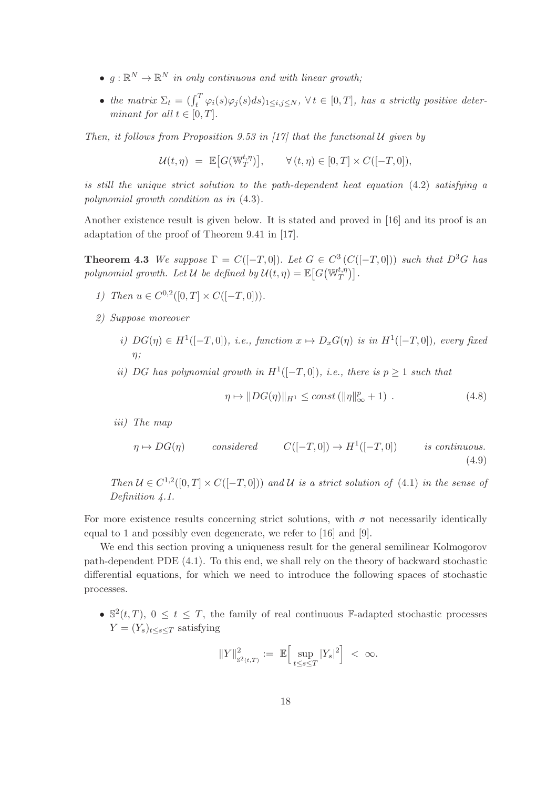- $g: \mathbb{R}^N \to \mathbb{R}^N$  in only continuous and with linear growth;
- the matrix  $\Sigma_t = (\int_t^T \varphi_i(s) \varphi_j(s) ds)_{1 \leq i,j \leq N}, \forall t \in [0,T]$ , has a strictly positive determinant for all  $t \in [0, T]$ .

Then, it follows from Proposition 9.53 in [17] that the functional  $U$  given by

$$
\mathcal{U}(t,\eta) \ = \ \mathbb{E}\big[ G(\mathbb{W}_T^{t,\eta})\big], \qquad \forall \, (t,\eta) \in [0,T] \times C([-T,0]),
$$

is still the unique strict solution to the path-dependent heat equation (4.2) satisfying a polynomial growth condition as in (4.3).

Another existence result is given below. It is stated and proved in [16] and its proof is an adaptation of the proof of Theorem 9.41 in [17].

**Theorem 4.3** We suppose  $\Gamma = C([-T, 0])$ . Let  $G \in C^3(C([-T, 0]))$  such that  $D^3G$  has polynomial growth. Let  $\mathcal U$  be defined by  $\mathcal U(t,\eta)=\mathbb E\big[G\big(\mathbb W_T^{t,\eta}\big)\big].$ 

- 1) Then  $u \in C^{0,2}([0,T] \times C([-T,0])).$
- 2) Suppose moreover
	- i)  $DG(\eta) \in H^1([-T,0]),$  i.e., function  $x \mapsto D_xG(\eta)$  is in  $H^1([-T,0]),$  every fixed  $n$ :
	- ii) DG has polynomial growth in  $H^1([-T,0])$ , i.e., there is  $p \geq 1$  such that

$$
\eta \mapsto ||DG(\eta)||_{H^1} \le const \left( ||\eta||^p_{\infty} + 1 \right) . \tag{4.8}
$$

iii) The map

$$
\eta \mapsto DG(\eta) \qquad \text{considered} \qquad C([-T, 0]) \to H^1([-T, 0]) \qquad \text{is continuous.}
$$
\n
$$
(4.9)
$$

Then  $\mathcal{U} \in C^{1,2}([0,T] \times C([-T,0]))$  and  $\mathcal{U}$  is a strict solution of (4.1) in the sense of Definition 4.1.

For more existence results concerning strict solutions, with  $\sigma$  not necessarily identically equal to 1 and possibly even degenerate, we refer to [16] and [9].

We end this section proving a uniqueness result for the general semilinear Kolmogorov path-dependent PDE (4.1). To this end, we shall rely on the theory of backward stochastic differential equations, for which we need to introduce the following spaces of stochastic processes.

•  $\mathbb{S}^2(t,T)$ ,  $0 \le t \le T$ , the family of real continuous F-adapted stochastic processes  $Y = (Y_s)_{t \leq s \leq T}$  satisfying

$$
\|Y\|_{\mathbb{S}^2(t,T)}^2 \,:=\; \mathbb{E}\Big[\sup_{t\leq s\leq T}|Y_s|^2\Big]\;<\; \infty.
$$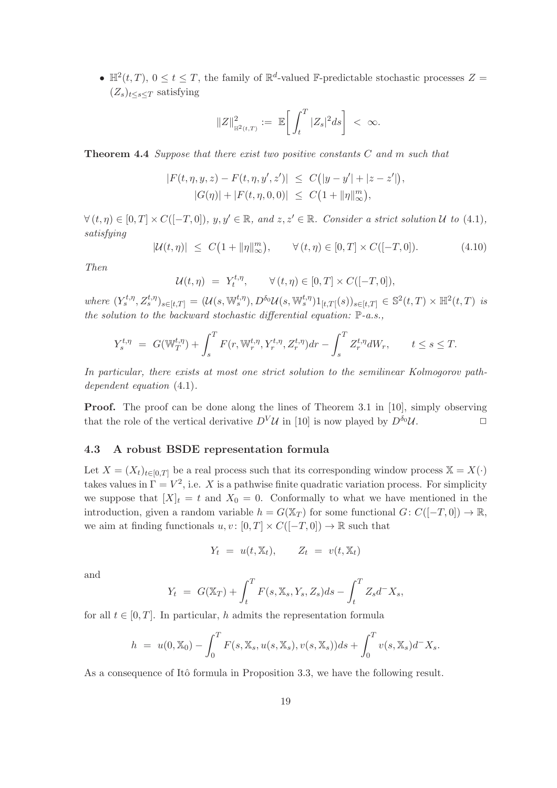•  $\mathbb{H}^2(t,T)$ ,  $0 \le t \le T$ , the family of  $\mathbb{R}^d$ -valued F-predictable stochastic processes  $Z =$  $(Z_s)_{t\leq s\leq T}$  satisfying

$$
||Z||_{\mathbb{H}^2(t,T)}^2 := \mathbb{E}\bigg[\int_t^T |Z_s|^2 ds\bigg] < \infty.
$$

Theorem 4.4 Suppose that there exist two positive constants C and m such that

$$
|F(t, \eta, y, z) - F(t, \eta, y', z')| \leq C(|y - y'| + |z - z'|),
$$
  

$$
|G(\eta)| + |F(t, \eta, 0, 0)| \leq C(1 + ||\eta||_{\infty}^{m}),
$$

 $\forall (t, \eta) \in [0, T] \times C([-T, 0]), y, y' \in \mathbb{R}, \text{ and } z, z' \in \mathbb{R}. \text{ Consider a strict solution } U \text{ to } (4.1),$ satisfying

$$
|\mathcal{U}(t,\eta)| \le C(1 + \|\eta\|_{\infty}^m), \qquad \forall (t,\eta) \in [0,T] \times C([-T,0]).
$$
 (4.10)

Then

$$
\mathcal{U}(t,\eta) = Y_t^{t,\eta}, \qquad \forall (t,\eta) \in [0,T] \times C([-T,0]),
$$

 $where \ (Y_s^{t,\eta}, Z_s^{t,\eta})_{s \in [t,T]} = (\mathcal{U}(s, \mathbb{W}_s^{t,\eta}), D^{\delta_0} \mathcal{U}(s, \mathbb{W}_s^{t,\eta}) 1_{[t,T[}(s))_{s \in [t,T]} \in \mathbb{S}^2(t,T) \times \mathbb{H}^2(t,T) \ is$ the solution to the backward stochastic differential equation:  $\mathbb{P}\text{-}a.s.,$ 

$$
Y_s^{t,\eta} = G(\mathbb{W}_T^{t,\eta}) + \int_s^T F(r, \mathbb{W}_r^{t,\eta}, Y_r^{t,\eta}, Z_r^{t,\eta}) dr - \int_s^T Z_r^{t,\eta} dW_r, \qquad t \le s \le T.
$$

In particular, there exists at most one strict solution to the semilinear Kolmogorov pathdependent equation  $(4.1)$ .

**Proof.** The proof can be done along the lines of Theorem 3.1 in [10], simply observing that the role of the vertical derivative  $D^V \mathcal{U}$  in [10] is now played by  $D^{\delta_0} \mathcal{U}$ .

## 4.3 A robust BSDE representation formula

Let  $X = (X_t)_{t \in [0,T]}$  be a real process such that its corresponding window process  $X = X(\cdot)$ takes values in  $\Gamma = V^2$ , i.e. X is a pathwise finite quadratic variation process. For simplicity we suppose that  $[X]_t = t$  and  $X_0 = 0$ . Conformally to what we have mentioned in the introduction, given a random variable  $h = G(\mathbb{X}_T)$  for some functional  $G: C([-T, 0]) \to \mathbb{R}$ , we aim at finding functionals  $u, v : [0, T] \times C([-T, 0]) \to \mathbb{R}$  such that

$$
Y_t = u(t, \mathbb{X}_t), \qquad Z_t = v(t, \mathbb{X}_t)
$$

and

$$
Y_t = G(\mathbb{X}_T) + \int_t^T F(s, \mathbb{X}_s, Y_s, Z_s) ds - \int_t^T Z_s d^- X_s,
$$

for all  $t \in [0, T]$ . In particular, h admits the representation formula

$$
h = u(0, \mathbb{X}_0) - \int_0^T F(s, \mathbb{X}_s, u(s, \mathbb{X}_s), v(s, \mathbb{X}_s)) ds + \int_0^T v(s, \mathbb{X}_s) d^- X_s.
$$

As a consequence of Itô formula in Proposition 3.3, we have the following result.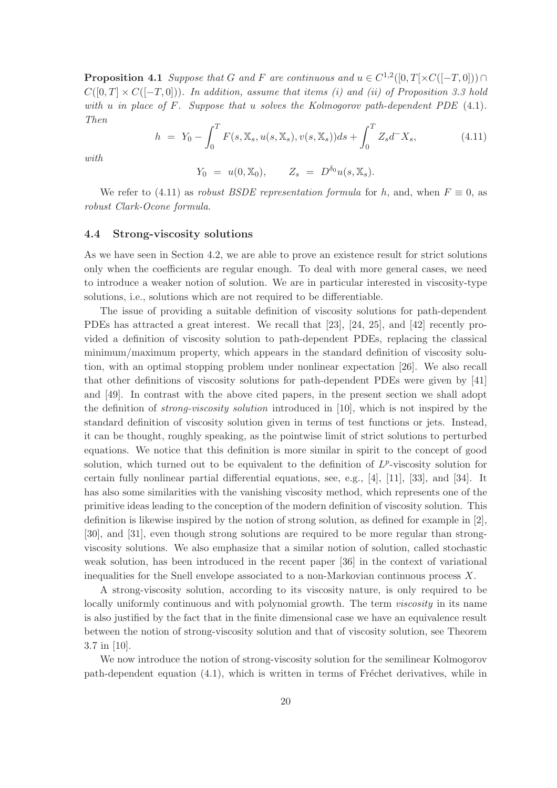**Proposition 4.1** Suppose that G and F are continuous and  $u \in C^{1,2}([0,T[ \times C([-T,0])) \cap$  $C([0,T] \times C([-T,0]))$ . In addition, assume that items (i) and (ii) of Proposition 3.3 hold with u in place of F. Suppose that u solves the Kolmogorov path-dependent PDE  $(4.1)$ . Then

$$
h = Y_0 - \int_0^T F(s, \mathbb{X}_s, u(s, \mathbb{X}_s), v(s, \mathbb{X}_s)) ds + \int_0^T Z_s d^- X_s, \tag{4.11}
$$

with

$$
Y_0 = u(0, \mathbb{X}_0), \qquad Z_s = D^{\delta_0}u(s, \mathbb{X}_s).
$$

We refer to (4.11) as robust BSDE representation formula for h, and, when  $F \equiv 0$ , as robust Clark-Ocone formula.

#### 4.4 Strong-viscosity solutions

As we have seen in Section 4.2, we are able to prove an existence result for strict solutions only when the coefficients are regular enough. To deal with more general cases, we need to introduce a weaker notion of solution. We are in particular interested in viscosity-type solutions, i.e., solutions which are not required to be differentiable.

The issue of providing a suitable definition of viscosity solutions for path-dependent PDEs has attracted a great interest. We recall that [23], [24, 25], and [42] recently provided a definition of viscosity solution to path-dependent PDEs, replacing the classical minimum/maximum property, which appears in the standard definition of viscosity solution, with an optimal stopping problem under nonlinear expectation [26]. We also recall that other definitions of viscosity solutions for path-dependent PDEs were given by [41] and [49]. In contrast with the above cited papers, in the present section we shall adopt the definition of strong-viscosity solution introduced in [10], which is not inspired by the standard definition of viscosity solution given in terms of test functions or jets. Instead, it can be thought, roughly speaking, as the pointwise limit of strict solutions to perturbed equations. We notice that this definition is more similar in spirit to the concept of good solution, which turned out to be equivalent to the definition of  $L^p$ -viscosity solution for certain fully nonlinear partial differential equations, see, e.g., [4], [11], [33], and [34]. It has also some similarities with the vanishing viscosity method, which represents one of the primitive ideas leading to the conception of the modern definition of viscosity solution. This definition is likewise inspired by the notion of strong solution, as defined for example in [2], [30], and [31], even though strong solutions are required to be more regular than strongviscosity solutions. We also emphasize that a similar notion of solution, called stochastic weak solution, has been introduced in the recent paper [36] in the context of variational inequalities for the Snell envelope associated to a non-Markovian continuous process X.

A strong-viscosity solution, according to its viscosity nature, is only required to be locally uniformly continuous and with polynomial growth. The term *viscosity* in its name is also justified by the fact that in the finite dimensional case we have an equivalence result between the notion of strong-viscosity solution and that of viscosity solution, see Theorem 3.7 in [10].

We now introduce the notion of strong-viscosity solution for the semilinear Kolmogorov path-dependent equation  $(4.1)$ , which is written in terms of Fréchet derivatives, while in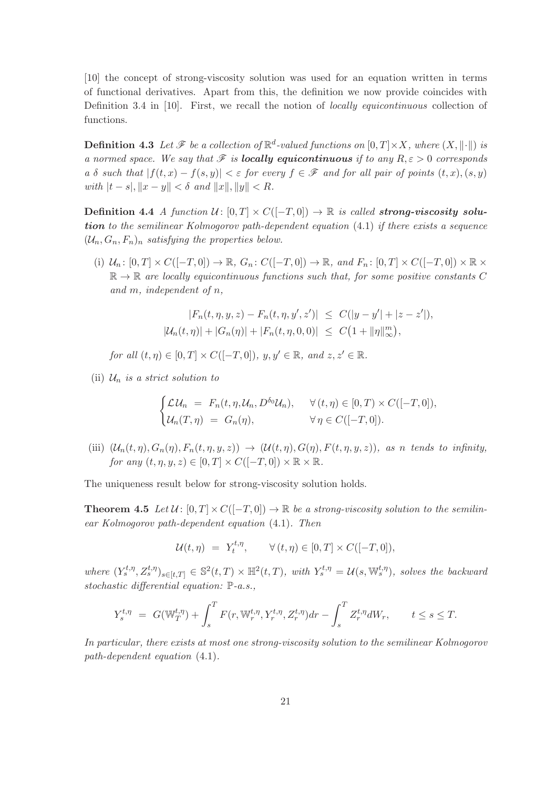[10] the concept of strong-viscosity solution was used for an equation written in terms of functional derivatives. Apart from this, the definition we now provide coincides with Definition 3.4 in [10]. First, we recall the notion of locally equicontinuous collection of functions.

**Definition 4.3** Let  $\mathcal{F}$  be a collection of  $\mathbb{R}^d$ -valued functions on  $[0,T] \times X$ , where  $(X, \|\cdot\|)$  is a normed space. We say that  $\mathscr F$  is **locally equicontinuous** if to any  $R, \varepsilon > 0$  corresponds a δ such that  $|f(t, x) - f(s, y)| < \varepsilon$  for every  $f \in \mathscr{F}$  and for all pair of points  $(t, x), (s, y)$ with  $|t - s|, \|x - y\| < \delta$  and  $||x||, ||y|| < R$ .

Definition 4.4 A function  $U: [0, T] \times C([-T, 0]) \rightarrow \mathbb{R}$  is called strong-viscosity solution to the semilinear Kolmogorov path-dependent equation (4.1) if there exists a sequence  $(\mathcal{U}_n, G_n, F_n)_n$  satisfying the properties below.

(i)  $\mathcal{U}_n: [0, T] \times C([-T, 0]) \to \mathbb{R}, G_n: C([-T, 0]) \to \mathbb{R}, and F_n: [0, T] \times C([-T, 0]) \times \mathbb{R} \times$  $\mathbb{R} \to \mathbb{R}$  are locally equicontinuous functions such that, for some positive constants C and m, independent of n,

$$
|F_n(t, \eta, y, z) - F_n(t, \eta, y', z')| \leq C(|y - y'| + |z - z'|),
$$
  

$$
|U_n(t, \eta)| + |G_n(\eta)| + |F_n(t, \eta, 0, 0)| \leq C(1 + ||\eta||_{\infty}^m),
$$

for all  $(t, \eta) \in [0, T] \times C([-T, 0]), y, y' \in \mathbb{R}, and z, z' \in \mathbb{R}.$ 

(ii)  $\mathcal{U}_n$  is a strict solution to

$$
\begin{cases}\n\mathcal{L} \mathcal{U}_n = F_n(t, \eta, \mathcal{U}_n, D^{\delta_0} \mathcal{U}_n), & \forall (t, \eta) \in [0, T) \times C([-T, 0]), \\
\mathcal{U}_n(T, \eta) = G_n(\eta), & \forall \eta \in C([-T, 0]).\n\end{cases}
$$

(iii)  $(\mathcal{U}_n(t,\eta), G_n(\eta), F_n(t,\eta,y,z)) \rightarrow (\mathcal{U}(t,\eta), G(\eta), F(t,\eta,y,z))$ , as n tends to infinity, for any  $(t, \eta, y, z) \in [0, T] \times C([-T, 0]) \times \mathbb{R} \times \mathbb{R}$ .

The uniqueness result below for strong-viscosity solution holds.

**Theorem 4.5** Let  $\mathcal{U}: [0, T] \times C([-T, 0]) \rightarrow \mathbb{R}$  be a strong-viscosity solution to the semilinear Kolmogorov path-dependent equation (4.1). Then

$$
\mathcal{U}(t,\eta) = Y_t^{t,\eta}, \qquad \forall (t,\eta) \in [0,T] \times C([-T,0]),
$$

where  $(Y_s^{t,\eta}, Z_s^{t,\eta})_{s \in [t,T]} \in \mathbb{S}^2(t,T) \times \mathbb{H}^2(t,T)$ , with  $Y_s^{t,\eta} = \mathcal{U}(s, \mathbb{W}_s^{t,\eta})$ , solves the backward stochastic differential equation: P-a.s.,

$$
Y_s^{t,\eta} = G(\mathbb{W}_T^{t,\eta}) + \int_s^T F(r, \mathbb{W}_r^{t,\eta}, Y_r^{t,\eta}, Z_r^{t,\eta}) dr - \int_s^T Z_r^{t,\eta} dW_r, \qquad t \le s \le T.
$$

In particular, there exists at most one strong-viscosity solution to the semilinear Kolmogorov path-dependent equation (4.1).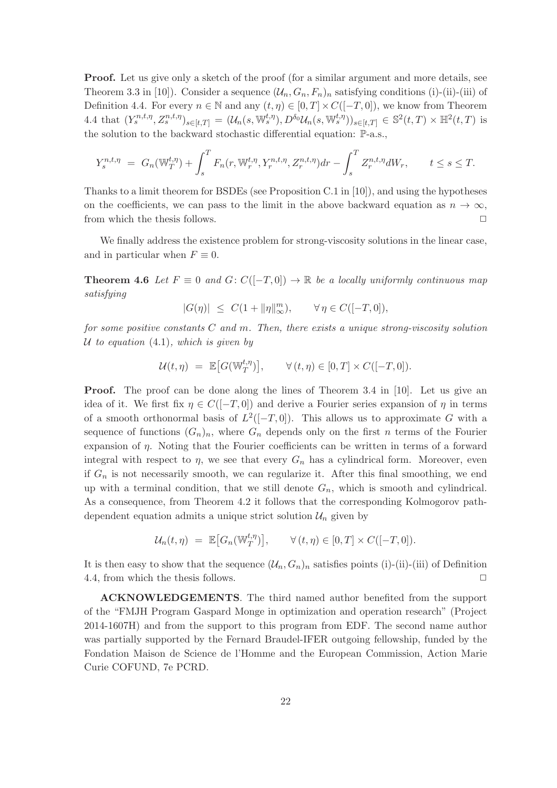Proof. Let us give only a sketch of the proof (for a similar argument and more details, see Theorem 3.3 in [10]). Consider a sequence  $(\mathcal{U}_n, G_n, F_n)_n$  satisfying conditions (i)-(ii)-(iii) of Definition 4.4. For every  $n \in \mathbb{N}$  and any  $(t, \eta) \in [0, T] \times C([-T, 0])$ , we know from Theorem 4.4 that  $(Y_s^{n,t,\eta}, Z_s^{n,t,\eta})_{s \in [t,T]} = (\mathcal{U}_n(s, \mathbb{W}_s^{t,\eta}), D^{\delta_0} \mathcal{U}_n(s, \mathbb{W}_s^{t,\eta}))_{s \in [t,T]} \in \mathbb{S}^2(t,T) \times \mathbb{H}^2(t,T)$  is the solution to the backward stochastic differential equation: P-a.s.,

$$
Y_s^{n,t,\eta} = G_n(\mathbb{W}_T^{t,\eta}) + \int_s^T F_n(r, \mathbb{W}_r^{t,\eta}, Y_r^{n,t,\eta}, Z_r^{n,t,\eta}) dr - \int_s^T Z_r^{n,t,\eta} dW_r, \qquad t \le s \le T.
$$

Thanks to a limit theorem for BSDEs (see Proposition C.1 in [10]), and using the hypotheses on the coefficients, we can pass to the limit in the above backward equation as  $n \to \infty$ , from which the thesis follows.  $\Box$ 

We finally address the existence problem for strong-viscosity solutions in the linear case, and in particular when  $F \equiv 0$ .

**Theorem 4.6** Let  $F \equiv 0$  and  $G: C([-T, 0]) \rightarrow \mathbb{R}$  be a locally uniformly continuous map satisfying

$$
|G(\eta)| \leq C(1 + \|\eta\|_{\infty}^m), \qquad \forall \eta \in C([-T, 0]),
$$

for some positive constants  $C$  and  $m$ . Then, there exists a unique strong-viscosity solution U to equation  $(4.1)$ , which is given by

$$
\mathcal{U}(t,\eta) \ = \ \mathbb{E}\big[ G(\mathbb{W}_T^{t,\eta})\big], \qquad \forall \, (t,\eta) \in [0,T] \times C([-T,0]).
$$

Proof. The proof can be done along the lines of Theorem 3.4 in [10]. Let us give an idea of it. We first fix  $\eta \in C([-T, 0])$  and derive a Fourier series expansion of  $\eta$  in terms of a smooth orthonormal basis of  $L^2([-T, 0])$ . This allows us to approximate G with a sequence of functions  $(G_n)_n$ , where  $G_n$  depends only on the first n terms of the Fourier expansion of  $\eta$ . Noting that the Fourier coefficients can be written in terms of a forward integral with respect to  $\eta$ , we see that every  $G_n$  has a cylindrical form. Moreover, even if  $G_n$  is not necessarily smooth, we can regularize it. After this final smoothing, we end up with a terminal condition, that we still denote  $G_n$ , which is smooth and cylindrical. As a consequence, from Theorem 4.2 it follows that the corresponding Kolmogorov pathdependent equation admits a unique strict solution  $\mathcal{U}_n$  given by

$$
\mathcal{U}_n(t,\eta) = \mathbb{E}\big[G_n(\mathbb{W}_T^{t,\eta})\big], \qquad \forall (t,\eta) \in [0,T] \times C([-T,0]).
$$

It is then easy to show that the sequence  $(\mathcal{U}_n, G_n)_n$  satisfies points (i)-(ii)-(iii) of Definition 4.4, from which the thesis follows.  $\Box$ 

ACKNOWLEDGEMENTS. The third named author benefited from the support of the "FMJH Program Gaspard Monge in optimization and operation research" (Project 2014-1607H) and from the support to this program from EDF. The second name author was partially supported by the Fernard Braudel-IFER outgoing fellowship, funded by the Fondation Maison de Science de l'Homme and the European Commission, Action Marie Curie COFUND, 7e PCRD.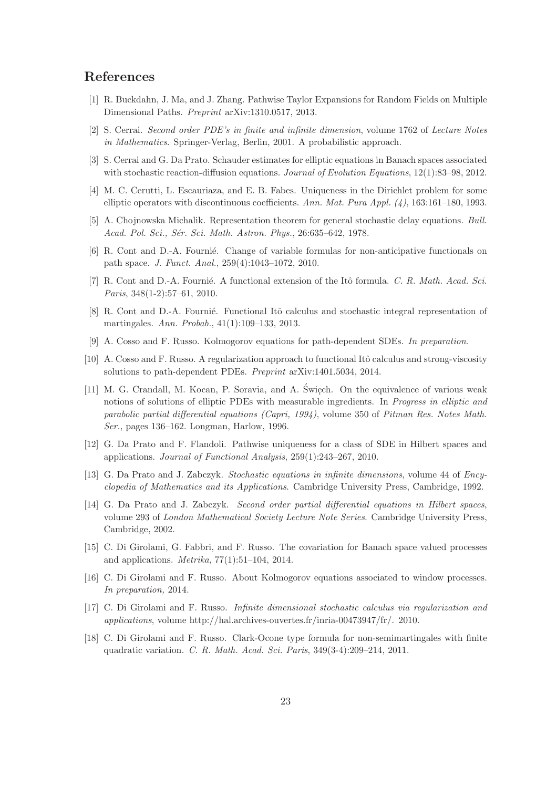# References

- [1] R. Buckdahn, J. Ma, and J. Zhang. Pathwise Taylor Expansions for Random Fields on Multiple Dimensional Paths. Preprint arXiv:1310.0517, 2013.
- [2] S. Cerrai. Second order PDE's in finite and infinite dimension, volume 1762 of Lecture Notes in Mathematics. Springer-Verlag, Berlin, 2001. A probabilistic approach.
- [3] S. Cerrai and G. Da Prato. Schauder estimates for elliptic equations in Banach spaces associated with stochastic reaction-diffusion equations. *Journal of Evolution Equations*, 12(1):83–98, 2012.
- [4] M. C. Cerutti, L. Escauriaza, and E. B. Fabes. Uniqueness in the Dirichlet problem for some elliptic operators with discontinuous coefficients. Ann. Mat. Pura Appl.  $(4)$ , 163:161–180, 1993.
- [5] A. Chojnowska Michalik. Representation theorem for general stochastic delay equations. Bull. Acad. Pol. Sci., Sér. Sci. Math. Astron. Phys., 26:635-642, 1978.
- [6] R. Cont and D.-A. Fournié. Change of variable formulas for non-anticipative functionals on path space. J. Funct. Anal., 259(4):1043–1072, 2010.
- [7] R. Cont and D.-A. Fournié. A functional extension of the Itô formula. C. R. Math. Acad. Sci. Paris, 348(1-2):57–61, 2010.
- [8] R. Cont and D.-A. Fournié. Functional Itô calculus and stochastic integral representation of martingales. Ann. Probab., 41(1):109–133, 2013.
- [9] A. Cosso and F. Russo. Kolmogorov equations for path-dependent SDEs. In preparation.
- [10] A. Cosso and F. Russo. A regularization approach to functional Itô calculus and strong-viscosity solutions to path-dependent PDEs. Preprint arXiv:1401.5034, 2014.
- [11] M. G. Crandall, M. Kocan, P. Soravia, and A. Święch. On the equivalence of various weak notions of solutions of elliptic PDEs with measurable ingredients. In *Progress in elliptic and* parabolic partial differential equations (Capri, 1994), volume 350 of Pitman Res. Notes Math. Ser., pages 136–162. Longman, Harlow, 1996.
- [12] G. Da Prato and F. Flandoli. Pathwise uniqueness for a class of SDE in Hilbert spaces and applications. Journal of Functional Analysis, 259(1):243–267, 2010.
- [13] G. Da Prato and J. Zabczyk. Stochastic equations in infinite dimensions, volume 44 of Encyclopedia of Mathematics and its Applications. Cambridge University Press, Cambridge, 1992.
- [14] G. Da Prato and J. Zabczyk. Second order partial differential equations in Hilbert spaces, volume 293 of London Mathematical Society Lecture Note Series. Cambridge University Press, Cambridge, 2002.
- [15] C. Di Girolami, G. Fabbri, and F. Russo. The covariation for Banach space valued processes and applications. *Metrika*,  $77(1):51-104$ ,  $2014$ .
- [16] C. Di Girolami and F. Russo. About Kolmogorov equations associated to window processes. In preparation, 2014.
- [17] C. Di Girolami and F. Russo. Infinite dimensional stochastic calculus via regularization and applications, volume http://hal.archives-ouvertes.fr/inria-00473947/fr/. 2010.
- [18] C. Di Girolami and F. Russo. Clark-Ocone type formula for non-semimartingales with finite quadratic variation. C. R. Math. Acad. Sci. Paris, 349(3-4):209–214, 2011.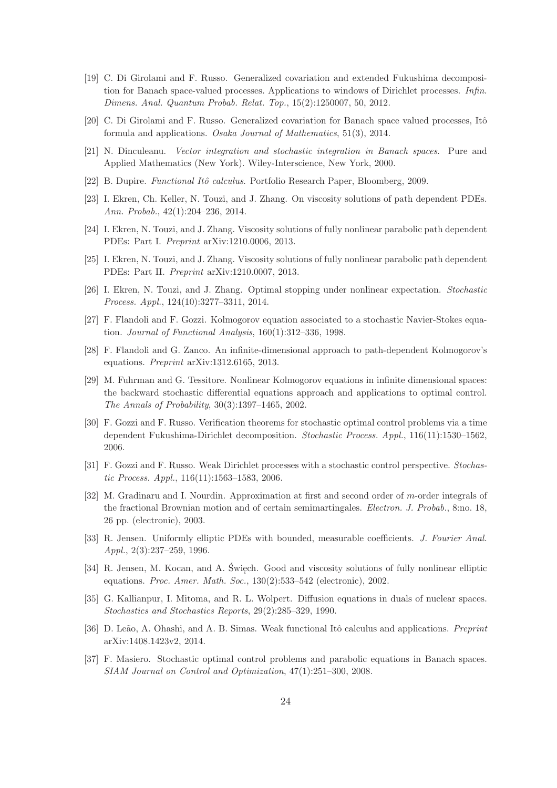- [19] C. Di Girolami and F. Russo. Generalized covariation and extended Fukushima decomposition for Banach space-valued processes. Applications to windows of Dirichlet processes. Infin. Dimens. Anal. Quantum Probab. Relat. Top., 15(2):1250007, 50, 2012.
- [20] C. Di Girolami and F. Russo. Generalized covariation for Banach space valued processes, Itô formula and applications. Osaka Journal of Mathematics, 51(3), 2014.
- [21] N. Dinculeanu. Vector integration and stochastic integration in Banach spaces. Pure and Applied Mathematics (New York). Wiley-Interscience, New York, 2000.
- [22] B. Dupire. *Functional Itô calculus*. Portfolio Research Paper, Bloomberg, 2009.
- [23] I. Ekren, Ch. Keller, N. Touzi, and J. Zhang. On viscosity solutions of path dependent PDEs. Ann. Probab., 42(1):204–236, 2014.
- [24] I. Ekren, N. Touzi, and J. Zhang. Viscosity solutions of fully nonlinear parabolic path dependent PDEs: Part I. Preprint arXiv:1210.0006, 2013.
- [25] I. Ekren, N. Touzi, and J. Zhang. Viscosity solutions of fully nonlinear parabolic path dependent PDEs: Part II. Preprint arXiv:1210.0007, 2013.
- [26] I. Ekren, N. Touzi, and J. Zhang. Optimal stopping under nonlinear expectation. Stochastic Process. Appl., 124(10):3277–3311, 2014.
- [27] F. Flandoli and F. Gozzi. Kolmogorov equation associated to a stochastic Navier-Stokes equation. Journal of Functional Analysis, 160(1):312–336, 1998.
- [28] F. Flandoli and G. Zanco. An infinite-dimensional approach to path-dependent Kolmogorov's equations. Preprint arXiv:1312.6165, 2013.
- [29] M. Fuhrman and G. Tessitore. Nonlinear Kolmogorov equations in infinite dimensional spaces: the backward stochastic differential equations approach and applications to optimal control. The Annals of Probability, 30(3):1397–1465, 2002.
- [30] F. Gozzi and F. Russo. Verification theorems for stochastic optimal control problems via a time dependent Fukushima-Dirichlet decomposition. Stochastic Process. Appl., 116(11):1530–1562, 2006.
- [31] F. Gozzi and F. Russo. Weak Dirichlet processes with a stochastic control perspective. Stochastic Process. Appl., 116(11):1563–1583, 2006.
- [32] M. Gradinaru and I. Nourdin. Approximation at first and second order of m-order integrals of the fractional Brownian motion and of certain semimartingales. Electron. J. Probab., 8:no. 18, 26 pp. (electronic), 2003.
- [33] R. Jensen. Uniformly elliptic PDEs with bounded, measurable coefficients. J. Fourier Anal. Appl., 2(3):237–259, 1996.
- [34] R. Jensen, M. Kocan, and A. Święch. Good and viscosity solutions of fully nonlinear elliptic equations. *Proc. Amer. Math. Soc.*, 130(2):533–542 (electronic), 2002.
- [35] G. Kallianpur, I. Mitoma, and R. L. Wolpert. Diffusion equations in duals of nuclear spaces. Stochastics and Stochastics Reports, 29(2):285–329, 1990.
- [36] D. Leão, A. Ohashi, and A. B. Simas. Weak functional Itô calculus and applications. Preprint arXiv:1408.1423v2, 2014.
- [37] F. Masiero. Stochastic optimal control problems and parabolic equations in Banach spaces. SIAM Journal on Control and Optimization, 47(1):251–300, 2008.